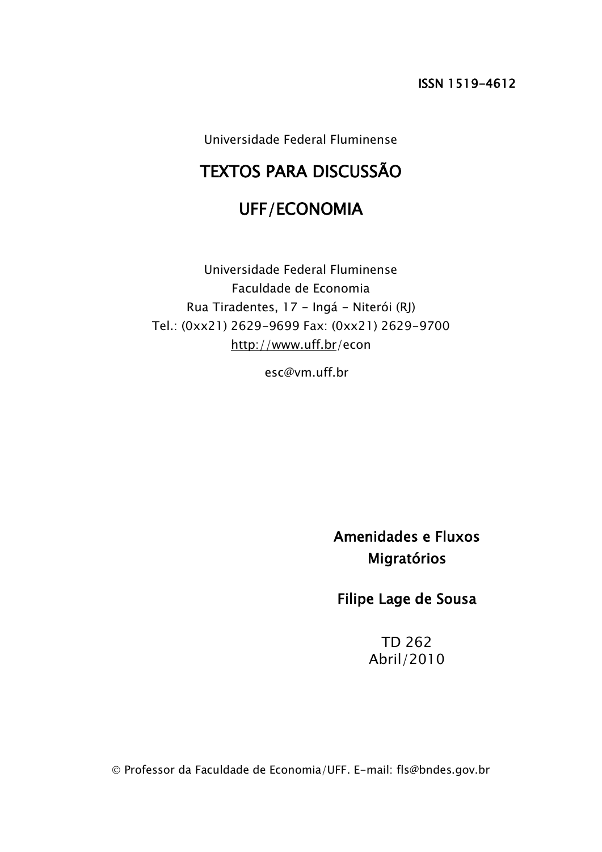Universidade Federal Fluminense

# TEXTOS PARA DISCUSSÃO

# UFF/ECONOMIA

Universidade Federal Fluminense Faculdade de Economia Rua Tiradentes, 17 - Ingá - Niterói (RJ) Tel.: (0xx21) 2629-9699 Fax: (0xx21) 2629-9700 <http://www.uff.br/>econ

esc@vm.uff.br

Amenidades e Fluxos Migratórios

Filipe Lage de Sousa

TD 262 Abril/2010

Professor da Faculdade de Economia/UFF. E-mail: fls@bndes.gov.br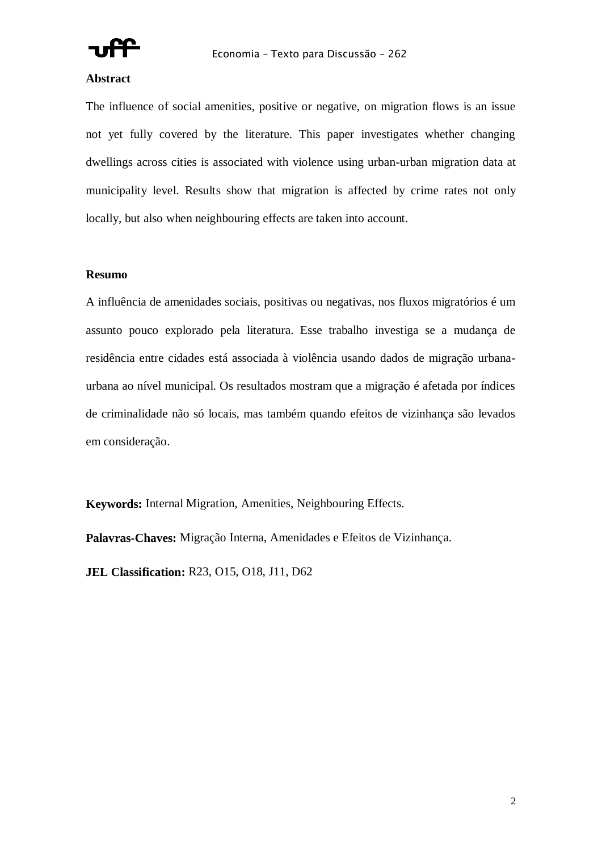

## **Abstract**

The influence of social amenities, positive or negative, on migration flows is an issue not yet fully covered by the literature. This paper investigates whether changing dwellings across cities is associated with violence using urban-urban migration data at municipality level. Results show that migration is affected by crime rates not only locally, but also when neighbouring effects are taken into account.

# **Resumo**

A influência de amenidades sociais, positivas ou negativas, nos fluxos migratórios é um assunto pouco explorado pela literatura. Esse trabalho investiga se a mudança de residência entre cidades está associada à violência usando dados de migração urbanaurbana ao nível municipal. Os resultados mostram que a migração é afetada por índices de criminalidade não só locais, mas também quando efeitos de vizinhança são levados em consideração.

**Keywords:** Internal Migration, Amenities, Neighbouring Effects.

**Palavras-Chaves:** Migração Interna, Amenidades e Efeitos de Vizinhança.

**JEL Classification:** R23, O15, O18, J11, D62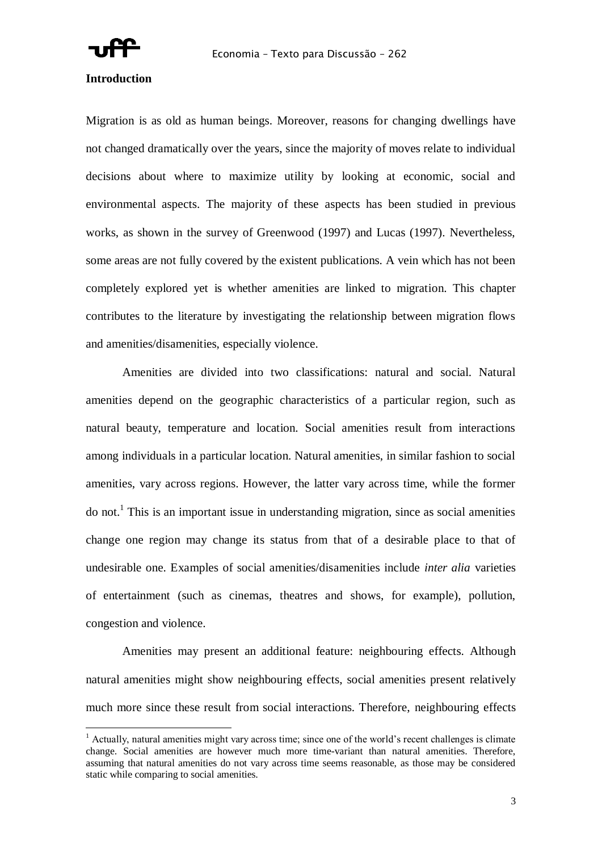

# **Introduction**

 $\overline{a}$ 

Migration is as old as human beings. Moreover, reasons for changing dwellings have not changed dramatically over the years, since the majority of moves relate to individual decisions about where to maximize utility by looking at economic, social and environmental aspects. The majority of these aspects has been studied in previous works, as shown in the survey of Greenwood (1997) and Lucas (1997). Nevertheless, some areas are not fully covered by the existent publications. A vein which has not been completely explored yet is whether amenities are linked to migration. This chapter contributes to the literature by investigating the relationship between migration flows and amenities/disamenities, especially violence.

Amenities are divided into two classifications: natural and social. Natural amenities depend on the geographic characteristics of a particular region, such as natural beauty, temperature and location. Social amenities result from interactions among individuals in a particular location. Natural amenities, in similar fashion to social amenities, vary across regions. However, the latter vary across time, while the former do not.<sup>1</sup> This is an important issue in understanding migration, since as social amenities change one region may change its status from that of a desirable place to that of undesirable one. Examples of social amenities/disamenities include *inter alia* varieties of entertainment (such as cinemas, theatres and shows, for example), pollution, congestion and violence.

Amenities may present an additional feature: neighbouring effects. Although natural amenities might show neighbouring effects, social amenities present relatively much more since these result from social interactions. Therefore, neighbouring effects

<sup>&</sup>lt;sup>1</sup> Actually, natural amenities might vary across time; since one of the world's recent challenges is climate change. Social amenities are however much more time-variant than natural amenities. Therefore, assuming that natural amenities do not vary across time seems reasonable, as those may be considered static while comparing to social amenities.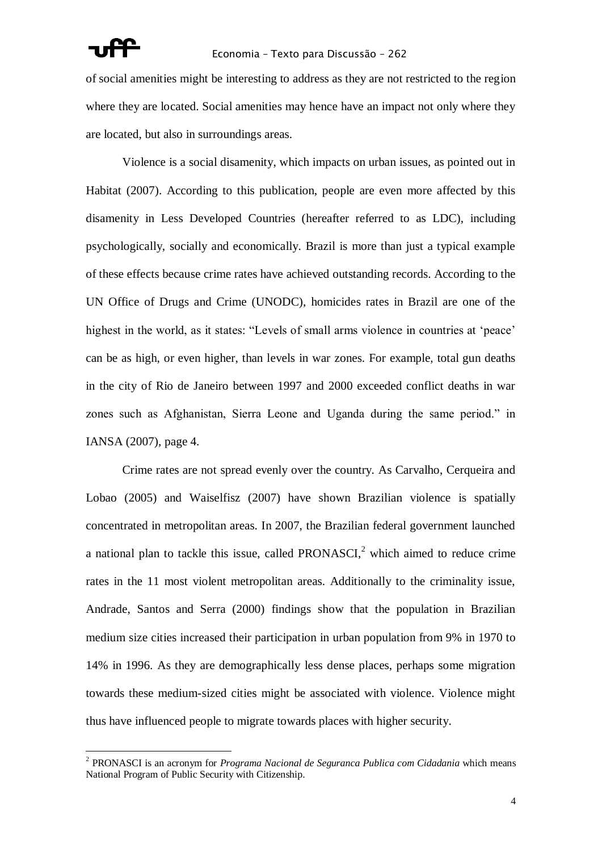# Economia – Texto para Discussão – 262

of social amenities might be interesting to address as they are not restricted to the region where they are located. Social amenities may hence have an impact not only where they are located, but also in surroundings areas.

Violence is a social disamenity, which impacts on urban issues, as pointed out in Habitat (2007). According to this publication, people are even more affected by this disamenity in Less Developed Countries (hereafter referred to as LDC), including psychologically, socially and economically. Brazil is more than just a typical example of these effects because crime rates have achieved outstanding records. According to the UN Office of Drugs and Crime (UNODC), homicides rates in Brazil are one of the highest in the world, as it states: "Levels of small arms violence in countries at 'peace' can be as high, or even higher, than levels in war zones. For example, total gun deaths in the city of Rio de Janeiro between 1997 and 2000 exceeded conflict deaths in war zones such as Afghanistan, Sierra Leone and Uganda during the same period." in IANSA (2007), page 4.

Crime rates are not spread evenly over the country. As Carvalho, Cerqueira and Lobao (2005) and Waiselfisz (2007) have shown Brazilian violence is spatially concentrated in metropolitan areas. In 2007, the Brazilian federal government launched a national plan to tackle this issue, called PRONASCI $^2$  which aimed to reduce crime rates in the 11 most violent metropolitan areas. Additionally to the criminality issue, Andrade, Santos and Serra (2000) findings show that the population in Brazilian medium size cities increased their participation in urban population from 9% in 1970 to 14% in 1996. As they are demographically less dense places, perhaps some migration towards these medium-sized cities might be associated with violence. Violence might thus have influenced people to migrate towards places with higher security.

<sup>2</sup> PRONASCI is an acronym for *Programa Nacional de Seguranca Publica com Cidadania* which means National Program of Public Security with Citizenship.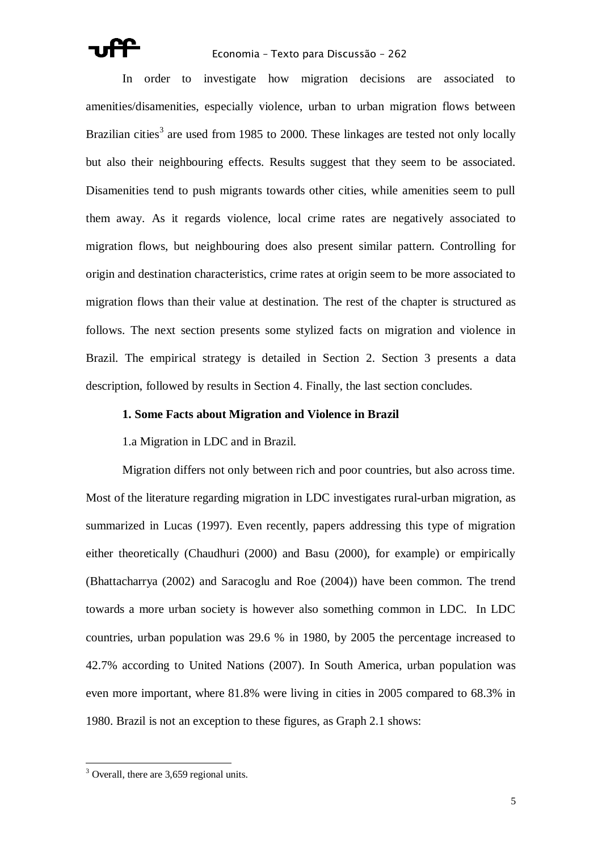In order to investigate how migration decisions are associated to amenities/disamenities, especially violence, urban to urban migration flows between Brazilian cities<sup>3</sup> are used from 1985 to 2000. These linkages are tested not only locally but also their neighbouring effects. Results suggest that they seem to be associated. Disamenities tend to push migrants towards other cities, while amenities seem to pull them away. As it regards violence, local crime rates are negatively associated to migration flows, but neighbouring does also present similar pattern. Controlling for origin and destination characteristics, crime rates at origin seem to be more associated to migration flows than their value at destination. The rest of the chapter is structured as follows. The next section presents some stylized facts on migration and violence in Brazil. The empirical strategy is detailed in Section 2. Section 3 presents a data description, followed by results in Section 4. Finally, the last section concludes.

# **1. Some Facts about Migration and Violence in Brazil**

1.a Migration in LDC and in Brazil.

Migration differs not only between rich and poor countries, but also across time. Most of the literature regarding migration in LDC investigates rural-urban migration, as summarized in Lucas (1997). Even recently, papers addressing this type of migration either theoretically (Chaudhuri (2000) and Basu (2000), for example) or empirically (Bhattacharrya (2002) and Saracoglu and Roe (2004)) have been common. The trend towards a more urban society is however also something common in LDC. In LDC countries, urban population was 29.6 % in 1980, by 2005 the percentage increased to 42.7% according to United Nations (2007). In South America, urban population was even more important, where 81.8% were living in cities in 2005 compared to 68.3% in 1980. Brazil is not an exception to these figures, as Graph 2.1 shows:

 $\overline{a}$  $3$  Overall, there are 3,659 regional units.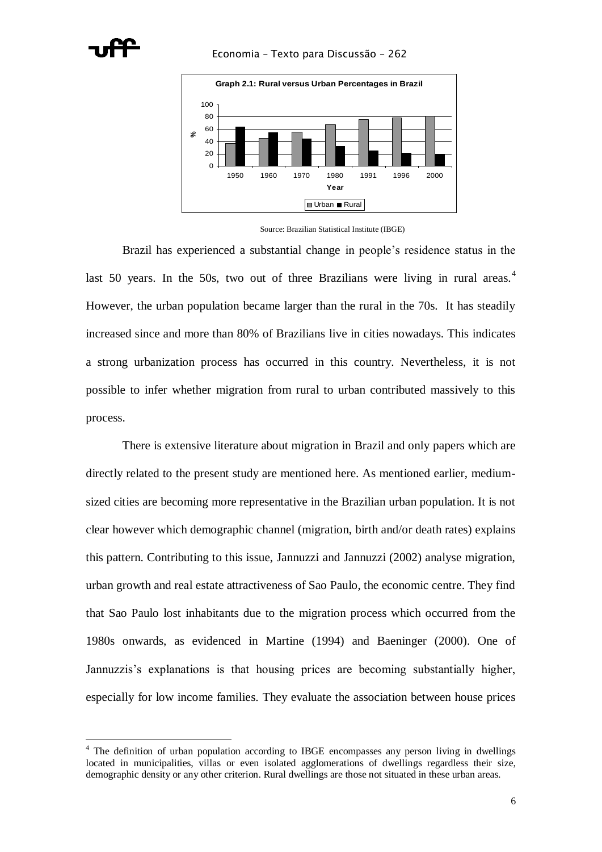



Source: Brazilian Statistical Institute (IBGE)

Brazil has experienced a substantial change in people"s residence status in the last 50 years. In the 50s, two out of three Brazilians were living in rural areas.<sup>4</sup> However, the urban population became larger than the rural in the 70s. It has steadily increased since and more than 80% of Brazilians live in cities nowadays. This indicates a strong urbanization process has occurred in this country. Nevertheless, it is not possible to infer whether migration from rural to urban contributed massively to this process.

There is extensive literature about migration in Brazil and only papers which are directly related to the present study are mentioned here. As mentioned earlier, mediumsized cities are becoming more representative in the Brazilian urban population. It is not clear however which demographic channel (migration, birth and/or death rates) explains this pattern. Contributing to this issue, Jannuzzi and Jannuzzi (2002) analyse migration, urban growth and real estate attractiveness of Sao Paulo, the economic centre. They find that Sao Paulo lost inhabitants due to the migration process which occurred from the 1980s onwards, as evidenced in Martine (1994) and Baeninger (2000). One of Jannuzzis's explanations is that housing prices are becoming substantially higher, especially for low income families. They evaluate the association between house prices

<sup>&</sup>lt;sup>4</sup> The definition of urban population according to IBGE encompasses any person living in dwellings located in municipalities, villas or even isolated agglomerations of dwellings regardless their size, demographic density or any other criterion. Rural dwellings are those not situated in these urban areas.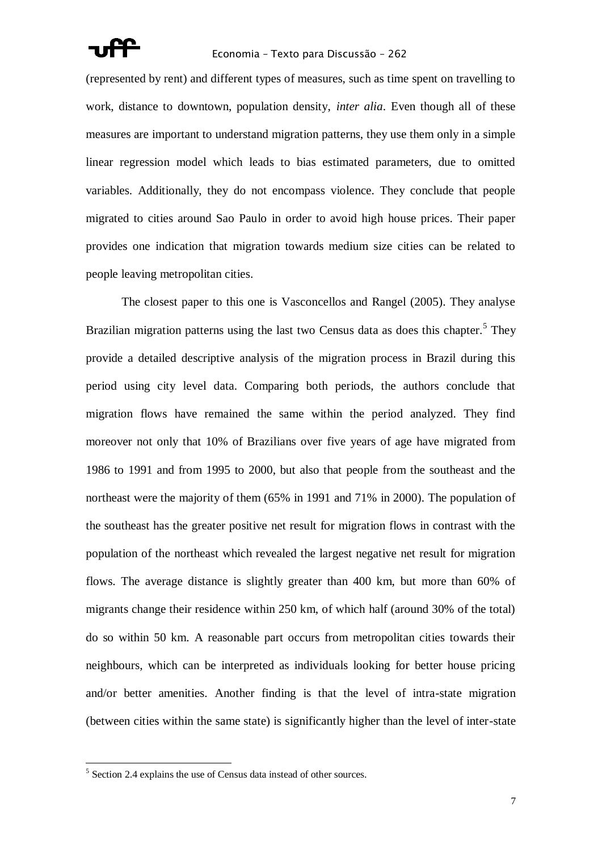

(represented by rent) and different types of measures, such as time spent on travelling to work, distance to downtown, population density, *inter alia*. Even though all of these measures are important to understand migration patterns, they use them only in a simple linear regression model which leads to bias estimated parameters, due to omitted variables. Additionally, they do not encompass violence. They conclude that people migrated to cities around Sao Paulo in order to avoid high house prices. Their paper provides one indication that migration towards medium size cities can be related to people leaving metropolitan cities.

The closest paper to this one is Vasconcellos and Rangel (2005). They analyse Brazilian migration patterns using the last two Census data as does this chapter.<sup>5</sup> They provide a detailed descriptive analysis of the migration process in Brazil during this period using city level data. Comparing both periods, the authors conclude that migration flows have remained the same within the period analyzed. They find moreover not only that 10% of Brazilians over five years of age have migrated from 1986 to 1991 and from 1995 to 2000, but also that people from the southeast and the northeast were the majority of them (65% in 1991 and 71% in 2000). The population of the southeast has the greater positive net result for migration flows in contrast with the population of the northeast which revealed the largest negative net result for migration flows. The average distance is slightly greater than 400 km, but more than 60% of migrants change their residence within 250 km, of which half (around 30% of the total) do so within 50 km. A reasonable part occurs from metropolitan cities towards their neighbours, which can be interpreted as individuals looking for better house pricing and/or better amenities. Another finding is that the level of intra-state migration (between cities within the same state) is significantly higher than the level of inter-state

<sup>&</sup>lt;sup>5</sup> Section 2.4 explains the use of Census data instead of other sources.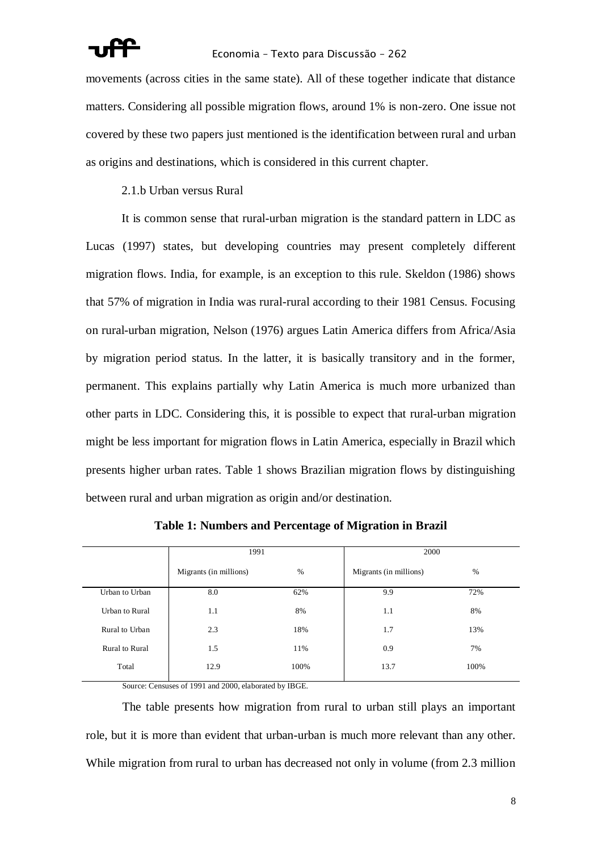movements (across cities in the same state). All of these together indicate that distance matters. Considering all possible migration flows, around 1% is non-zero. One issue not covered by these two papers just mentioned is the identification between rural and urban as origins and destinations, which is considered in this current chapter.

2.1.b Urban versus Rural

It is common sense that rural-urban migration is the standard pattern in LDC as Lucas (1997) states, but developing countries may present completely different migration flows. India, for example, is an exception to this rule. Skeldon (1986) shows that 57% of migration in India was rural-rural according to their 1981 Census. Focusing on rural-urban migration, Nelson (1976) argues Latin America differs from Africa/Asia by migration period status. In the latter, it is basically transitory and in the former, permanent. This explains partially why Latin America is much more urbanized than other parts in LDC. Considering this, it is possible to expect that rural-urban migration might be less important for migration flows in Latin America, especially in Brazil which presents higher urban rates. Table 1 shows Brazilian migration flows by distinguishing between rural and urban migration as origin and/or destination.

|                | 1991                           |      | 2000                   |      |  |
|----------------|--------------------------------|------|------------------------|------|--|
|                | $\%$<br>Migrants (in millions) |      | Migrants (in millions) | $\%$ |  |
| Urban to Urban | 8.0                            | 62%  | 9.9                    | 72%  |  |
| Urban to Rural | 1.1                            | 8%   | 1.1                    | 8%   |  |
| Rural to Urban | 2.3                            | 18%  | 1.7                    | 13%  |  |
| Rural to Rural | 1.5                            | 11%  | 0.9                    | 7%   |  |
| Total          | 12.9                           | 100% | 13.7                   | 100% |  |

**Table 1: Numbers and Percentage of Migration in Brazil**

Source: Censuses of 1991 and 2000, elaborated by IBGE.

The table presents how migration from rural to urban still plays an important role, but it is more than evident that urban-urban is much more relevant than any other. While migration from rural to urban has decreased not only in volume (from 2.3 million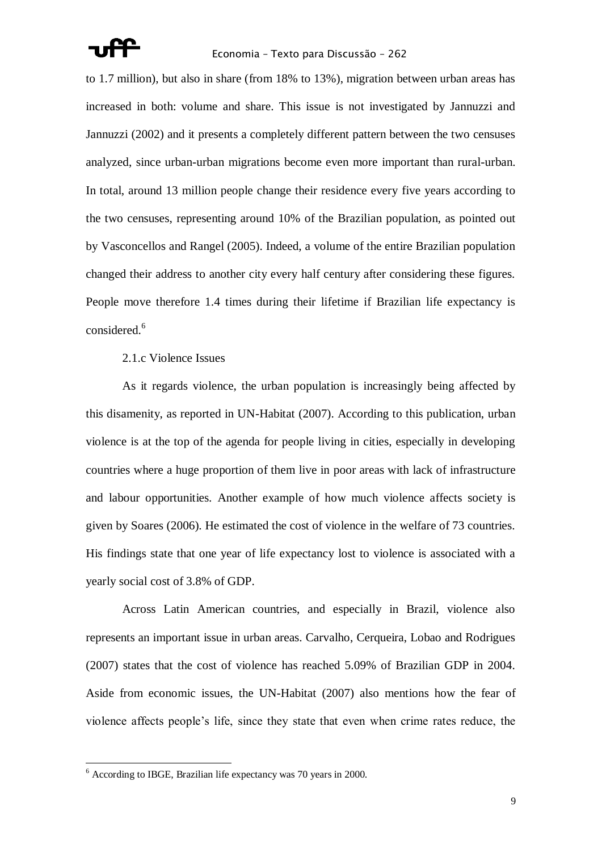

to 1.7 million), but also in share (from 18% to 13%), migration between urban areas has increased in both: volume and share. This issue is not investigated by Jannuzzi and Jannuzzi (2002) and it presents a completely different pattern between the two censuses analyzed, since urban-urban migrations become even more important than rural-urban. In total, around 13 million people change their residence every five years according to the two censuses, representing around 10% of the Brazilian population, as pointed out by Vasconcellos and Rangel (2005). Indeed, a volume of the entire Brazilian population changed their address to another city every half century after considering these figures. People move therefore 1.4 times during their lifetime if Brazilian life expectancy is considered.<sup>6</sup>

# 2.1.c Violence Issues

As it regards violence, the urban population is increasingly being affected by this disamenity, as reported in UN-Habitat (2007). According to this publication, urban violence is at the top of the agenda for people living in cities, especially in developing countries where a huge proportion of them live in poor areas with lack of infrastructure and labour opportunities. Another example of how much violence affects society is given by Soares (2006). He estimated the cost of violence in the welfare of 73 countries. His findings state that one year of life expectancy lost to violence is associated with a yearly social cost of 3.8% of GDP.

Across Latin American countries, and especially in Brazil, violence also represents an important issue in urban areas. Carvalho, Cerqueira, Lobao and Rodrigues (2007) states that the cost of violence has reached 5.09% of Brazilian GDP in 2004. Aside from economic issues, the UN-Habitat (2007) also mentions how the fear of violence affects people"s life, since they state that even when crime rates reduce, the

 $\overline{a}$ 

 $6$  According to IBGE, Brazilian life expectancy was 70 years in 2000.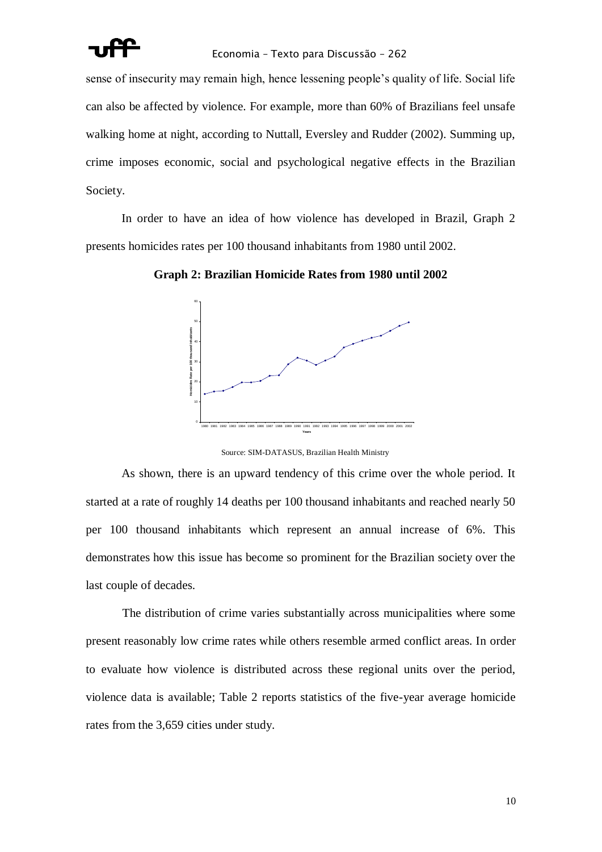

sense of insecurity may remain high, hence lessening people"s quality of life. Social life can also be affected by violence. For example, more than 60% of Brazilians feel unsafe walking home at night, according to Nuttall, Eversley and Rudder (2002). Summing up, crime imposes economic, social and psychological negative effects in the Brazilian Society.

In order to have an idea of how violence has developed in Brazil, Graph 2 presents homicides rates per 100 thousand inhabitants from 1980 until 2002.

0 10 20 30 40 50 60 -1980 1981 1982 1983 1984 1985 1986 1987 1988 1989 1990 1991 1992 1993 1994 1995 1996 1997 1998 1999 2000 2001 2002 **Years and Street and Street Advisors Construction Constrainers Advisors Constrainers Advisors Construction Construction Construction Construction Construction Construction Construction Construction Construction Constructi** 

**Graph 2: Brazilian Homicide Rates from 1980 until 2002**

Source: SIM-DATASUS, Brazilian Health Ministry

As shown, there is an upward tendency of this crime over the whole period. It started at a rate of roughly 14 deaths per 100 thousand inhabitants and reached nearly 50 per 100 thousand inhabitants which represent an annual increase of 6%. This demonstrates how this issue has become so prominent for the Brazilian society over the last couple of decades.

The distribution of crime varies substantially across municipalities where some present reasonably low crime rates while others resemble armed conflict areas. In order to evaluate how violence is distributed across these regional units over the period, violence data is available; Table 2 reports statistics of the five-year average homicide rates from the 3,659 cities under study.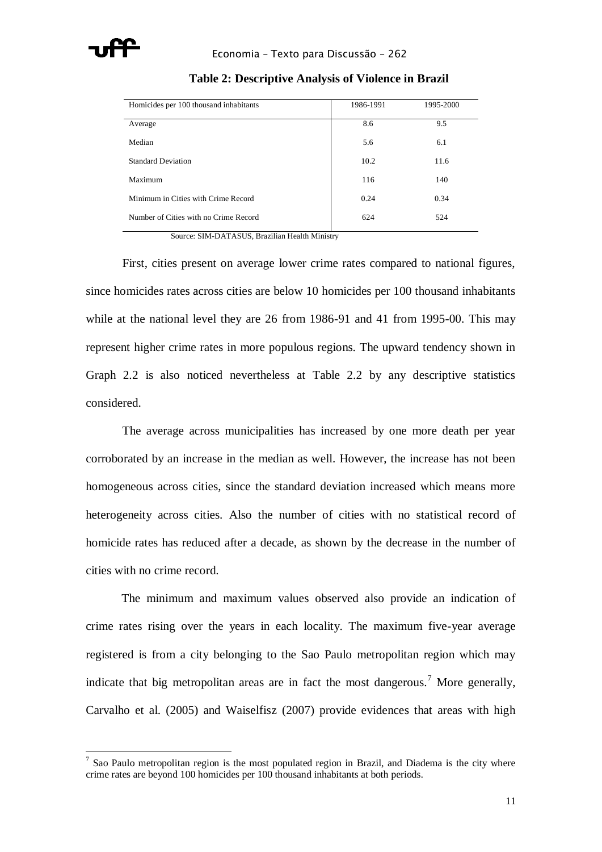

| Homicides per 100 thousand inhabitants | 1986-1991 | 1995-2000 |
|----------------------------------------|-----------|-----------|
| Average                                | 8.6       | 9.5       |
| Median                                 | 5.6       | 6.1       |
| <b>Standard Deviation</b>              | 10.2      | 11.6      |
| Maximum                                | 116       | 140       |
| Minimum in Cities with Crime Record    | 0.24      | 0.34      |
| Number of Cities with no Crime Record  | 624       | 524       |

**Table 2: Descriptive Analysis of Violence in Brazil**

Source: SIM-DATASUS, Brazilian Health Ministry

First, cities present on average lower crime rates compared to national figures, since homicides rates across cities are below 10 homicides per 100 thousand inhabitants while at the national level they are 26 from 1986-91 and 41 from 1995-00. This may represent higher crime rates in more populous regions. The upward tendency shown in Graph 2.2 is also noticed nevertheless at Table 2.2 by any descriptive statistics considered.

The average across municipalities has increased by one more death per year corroborated by an increase in the median as well. However, the increase has not been homogeneous across cities, since the standard deviation increased which means more heterogeneity across cities. Also the number of cities with no statistical record of homicide rates has reduced after a decade, as shown by the decrease in the number of cities with no crime record.

The minimum and maximum values observed also provide an indication of crime rates rising over the years in each locality. The maximum five-year average registered is from a city belonging to the Sao Paulo metropolitan region which may indicate that big metropolitan areas are in fact the most dangerous.<sup>7</sup> More generally, Carvalho et al. (2005) and Waiselfisz (2007) provide evidences that areas with high

 $<sup>7</sup>$  Sao Paulo metropolitan region is the most populated region in Brazil, and Diadema is the city where</sup> crime rates are beyond 100 homicides per 100 thousand inhabitants at both periods.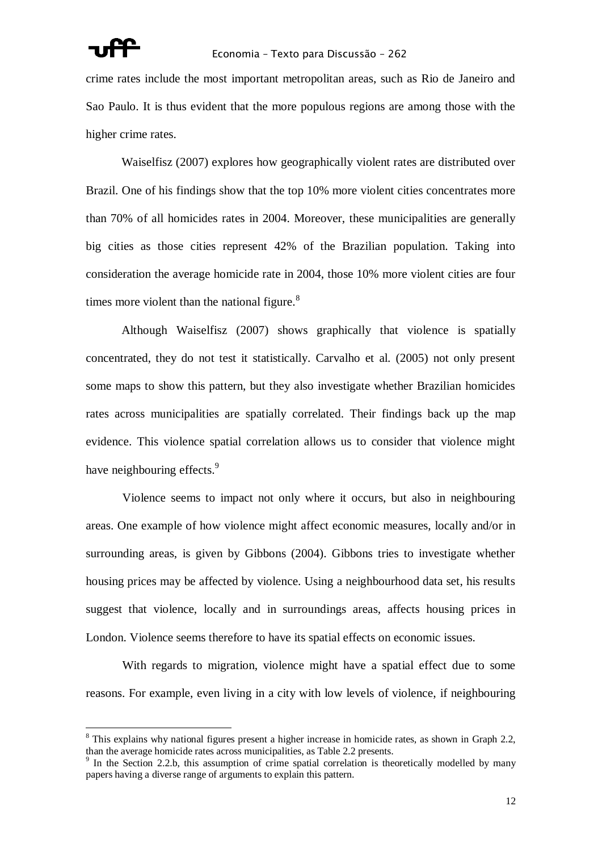crime rates include the most important metropolitan areas, such as Rio de Janeiro and Sao Paulo. It is thus evident that the more populous regions are among those with the higher crime rates.

Waiselfisz (2007) explores how geographically violent rates are distributed over Brazil. One of his findings show that the top 10% more violent cities concentrates more than 70% of all homicides rates in 2004. Moreover, these municipalities are generally big cities as those cities represent 42% of the Brazilian population. Taking into consideration the average homicide rate in 2004, those 10% more violent cities are four times more violent than the national figure. $8$ 

Although Waiselfisz (2007) shows graphically that violence is spatially concentrated, they do not test it statistically. Carvalho et al. (2005) not only present some maps to show this pattern, but they also investigate whether Brazilian homicides rates across municipalities are spatially correlated. Their findings back up the map evidence. This violence spatial correlation allows us to consider that violence might have neighbouring effects.<sup>9</sup>

Violence seems to impact not only where it occurs, but also in neighbouring areas. One example of how violence might affect economic measures, locally and/or in surrounding areas, is given by Gibbons (2004). Gibbons tries to investigate whether housing prices may be affected by violence. Using a neighbourhood data set, his results suggest that violence, locally and in surroundings areas, affects housing prices in London. Violence seems therefore to have its spatial effects on economic issues.

With regards to migration, violence might have a spatial effect due to some reasons. For example, even living in a city with low levels of violence, if neighbouring

<sup>&</sup>lt;sup>8</sup> This explains why national figures present a higher increase in homicide rates, as shown in Graph 2.2, than the average homicide rates across municipalities, as Table 2.2 presents.

<sup>&</sup>lt;sup>9</sup> In the Section 2.2.b, this assumption of crime spatial correlation is theoretically modelled by many papers having a diverse range of arguments to explain this pattern.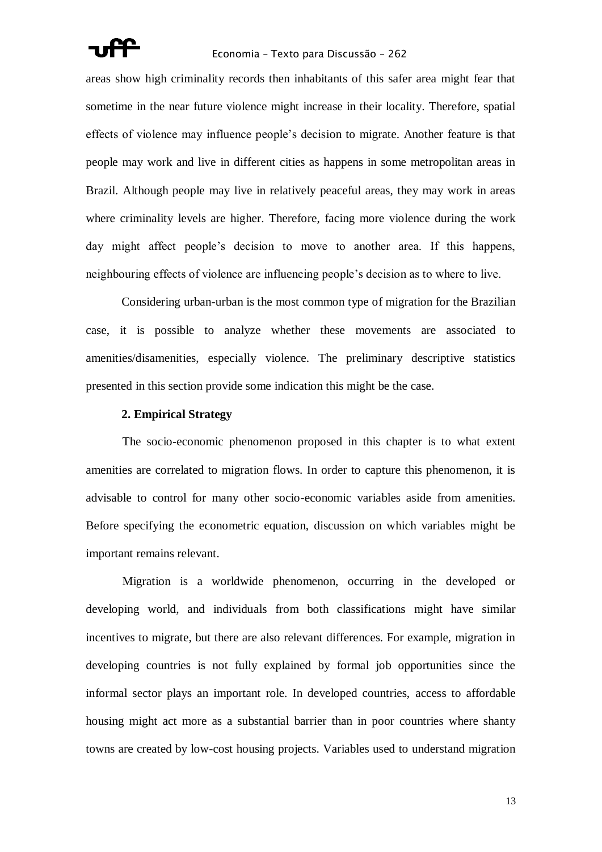

areas show high criminality records then inhabitants of this safer area might fear that sometime in the near future violence might increase in their locality. Therefore, spatial effects of violence may influence people"s decision to migrate. Another feature is that people may work and live in different cities as happens in some metropolitan areas in Brazil. Although people may live in relatively peaceful areas, they may work in areas where criminality levels are higher. Therefore, facing more violence during the work day might affect people"s decision to move to another area. If this happens, neighbouring effects of violence are influencing people"s decision as to where to live.

Considering urban-urban is the most common type of migration for the Brazilian case, it is possible to analyze whether these movements are associated to amenities/disamenities, especially violence. The preliminary descriptive statistics presented in this section provide some indication this might be the case.

### **2. Empirical Strategy**

The socio-economic phenomenon proposed in this chapter is to what extent amenities are correlated to migration flows. In order to capture this phenomenon, it is advisable to control for many other socio-economic variables aside from amenities. Before specifying the econometric equation, discussion on which variables might be important remains relevant.

Migration is a worldwide phenomenon, occurring in the developed or developing world, and individuals from both classifications might have similar incentives to migrate, but there are also relevant differences. For example, migration in developing countries is not fully explained by formal job opportunities since the informal sector plays an important role. In developed countries, access to affordable housing might act more as a substantial barrier than in poor countries where shanty towns are created by low-cost housing projects. Variables used to understand migration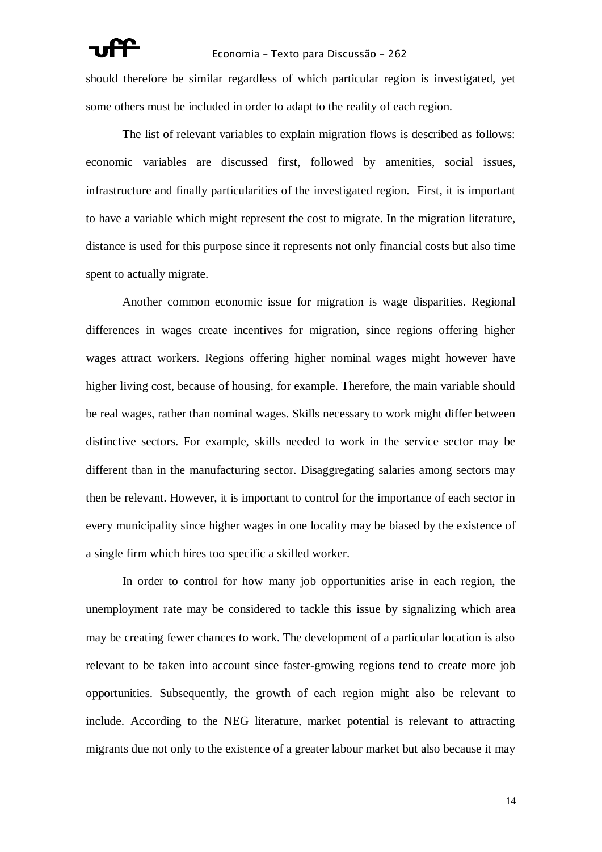should therefore be similar regardless of which particular region is investigated, yet some others must be included in order to adapt to the reality of each region.

The list of relevant variables to explain migration flows is described as follows: economic variables are discussed first, followed by amenities, social issues, infrastructure and finally particularities of the investigated region. First, it is important to have a variable which might represent the cost to migrate. In the migration literature, distance is used for this purpose since it represents not only financial costs but also time spent to actually migrate.

Another common economic issue for migration is wage disparities. Regional differences in wages create incentives for migration, since regions offering higher wages attract workers. Regions offering higher nominal wages might however have higher living cost, because of housing, for example. Therefore, the main variable should be real wages, rather than nominal wages. Skills necessary to work might differ between distinctive sectors. For example, skills needed to work in the service sector may be different than in the manufacturing sector. Disaggregating salaries among sectors may then be relevant. However, it is important to control for the importance of each sector in every municipality since higher wages in one locality may be biased by the existence of a single firm which hires too specific a skilled worker.

In order to control for how many job opportunities arise in each region, the unemployment rate may be considered to tackle this issue by signalizing which area may be creating fewer chances to work. The development of a particular location is also relevant to be taken into account since faster-growing regions tend to create more job opportunities. Subsequently, the growth of each region might also be relevant to include. According to the NEG literature, market potential is relevant to attracting migrants due not only to the existence of a greater labour market but also because it may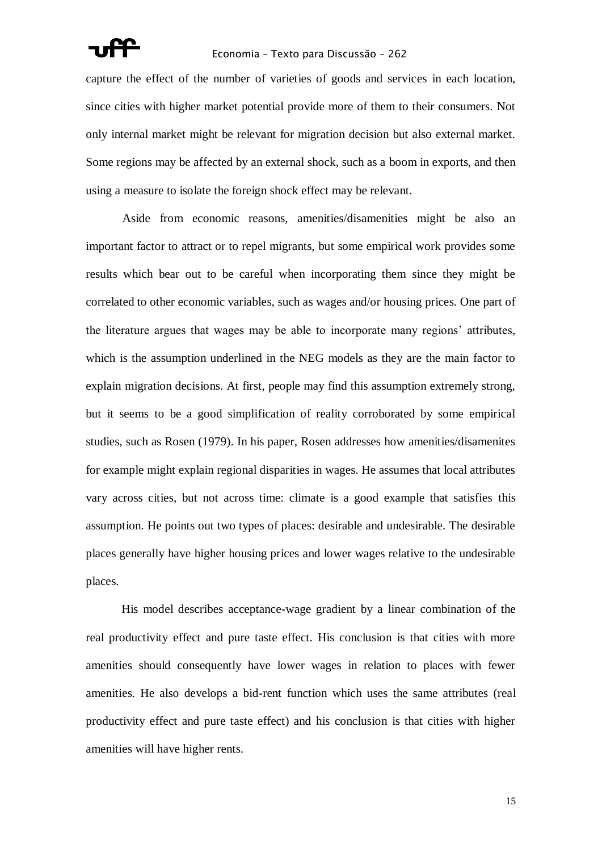capture the effect of the number of varieties of goods and services in each location, since cities with higher market potential provide more of them to their consumers. Not only internal market might be relevant for migration decision but also external market. Some regions may be affected by an external shock, such as a boom in exports, and then using a measure to isolate the foreign shock effect may be relevant.

Aside from economic reasons, amenities/disamenities might be also an important factor to attract or to repel migrants, but some empirical work provides some results which bear out to be careful when incorporating them since they might be correlated to other economic variables, such as wages and/or housing prices. One part of the literature argues that wages may be able to incorporate many regions" attributes, which is the assumption underlined in the NEG models as they are the main factor to explain migration decisions. At first, people may find this assumption extremely strong, but it seems to be a good simplification of reality corroborated by some empirical studies, such as Rosen (1979). In his paper, Rosen addresses how amenities/disamenites for example might explain regional disparities in wages. He assumes that local attributes vary across cities, but not across time: climate is a good example that satisfies this assumption. He points out two types of places: desirable and undesirable. The desirable places generally have higher housing prices and lower wages relative to the undesirable places.

His model describes acceptance-wage gradient by a linear combination of the real productivity effect and pure taste effect. His conclusion is that cities with more amenities should consequently have lower wages in relation to places with fewer amenities. He also develops a bid-rent function which uses the same attributes (real productivity effect and pure taste effect) and his conclusion is that cities with higher amenities will have higher rents.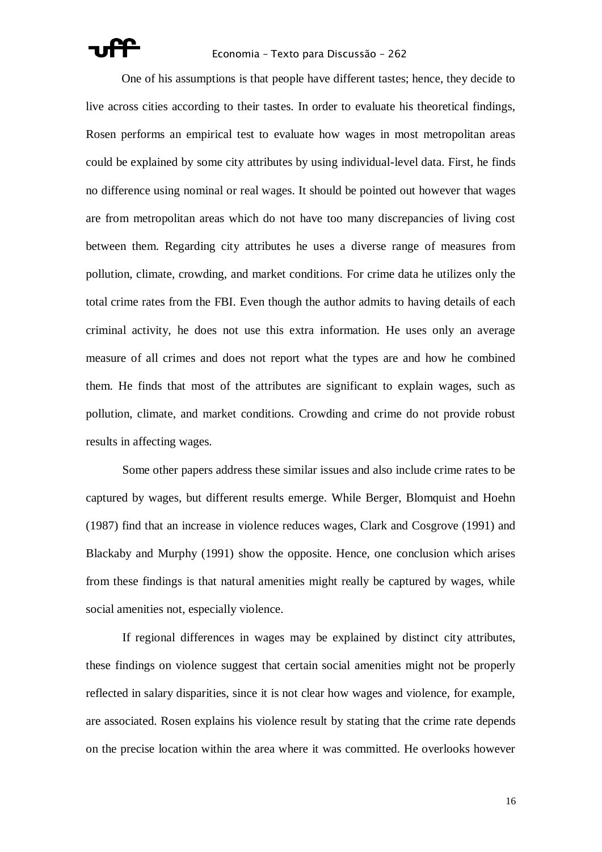

One of his assumptions is that people have different tastes; hence, they decide to live across cities according to their tastes. In order to evaluate his theoretical findings, Rosen performs an empirical test to evaluate how wages in most metropolitan areas could be explained by some city attributes by using individual-level data. First, he finds no difference using nominal or real wages. It should be pointed out however that wages are from metropolitan areas which do not have too many discrepancies of living cost between them. Regarding city attributes he uses a diverse range of measures from pollution, climate, crowding, and market conditions. For crime data he utilizes only the total crime rates from the FBI. Even though the author admits to having details of each criminal activity, he does not use this extra information. He uses only an average measure of all crimes and does not report what the types are and how he combined them. He finds that most of the attributes are significant to explain wages, such as pollution, climate, and market conditions. Crowding and crime do not provide robust results in affecting wages.

Some other papers address these similar issues and also include crime rates to be captured by wages, but different results emerge. While Berger, Blomquist and Hoehn (1987) find that an increase in violence reduces wages, Clark and Cosgrove (1991) and Blackaby and Murphy (1991) show the opposite. Hence, one conclusion which arises from these findings is that natural amenities might really be captured by wages, while social amenities not, especially violence.

If regional differences in wages may be explained by distinct city attributes, these findings on violence suggest that certain social amenities might not be properly reflected in salary disparities, since it is not clear how wages and violence, for example, are associated. Rosen explains his violence result by stating that the crime rate depends on the precise location within the area where it was committed. He overlooks however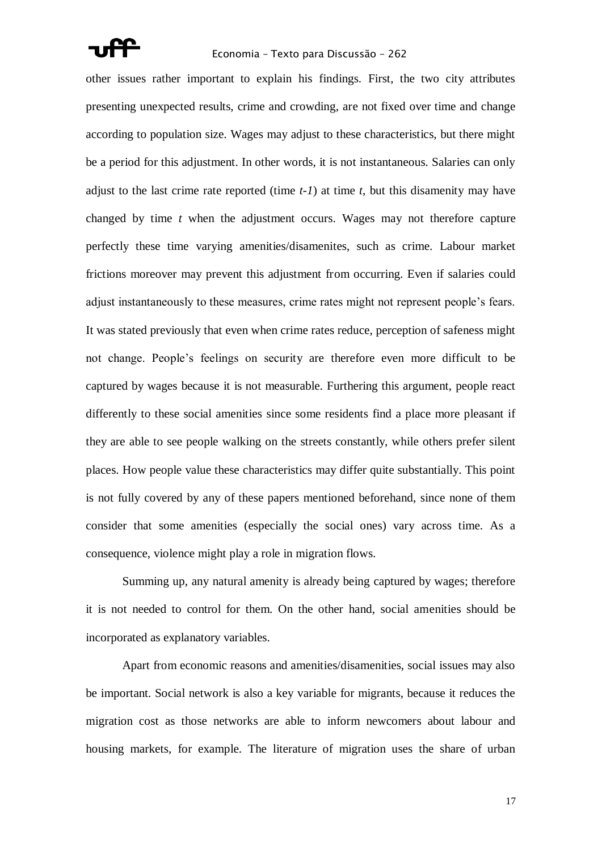

other issues rather important to explain his findings. First, the two city attributes presenting unexpected results, crime and crowding, are not fixed over time and change according to population size. Wages may adjust to these characteristics, but there might be a period for this adjustment. In other words, it is not instantaneous. Salaries can only adjust to the last crime rate reported (time *t-1*) at time *t*, but this disamenity may have changed by time *t* when the adjustment occurs. Wages may not therefore capture perfectly these time varying amenities/disamenites, such as crime. Labour market frictions moreover may prevent this adjustment from occurring. Even if salaries could adjust instantaneously to these measures, crime rates might not represent people"s fears. It was stated previously that even when crime rates reduce, perception of safeness might not change. People"s feelings on security are therefore even more difficult to be captured by wages because it is not measurable. Furthering this argument, people react differently to these social amenities since some residents find a place more pleasant if they are able to see people walking on the streets constantly, while others prefer silent places. How people value these characteristics may differ quite substantially. This point is not fully covered by any of these papers mentioned beforehand, since none of them consider that some amenities (especially the social ones) vary across time. As a consequence, violence might play a role in migration flows.

Summing up, any natural amenity is already being captured by wages; therefore it is not needed to control for them. On the other hand, social amenities should be incorporated as explanatory variables.

Apart from economic reasons and amenities/disamenities, social issues may also be important. Social network is also a key variable for migrants, because it reduces the migration cost as those networks are able to inform newcomers about labour and housing markets, for example. The literature of migration uses the share of urban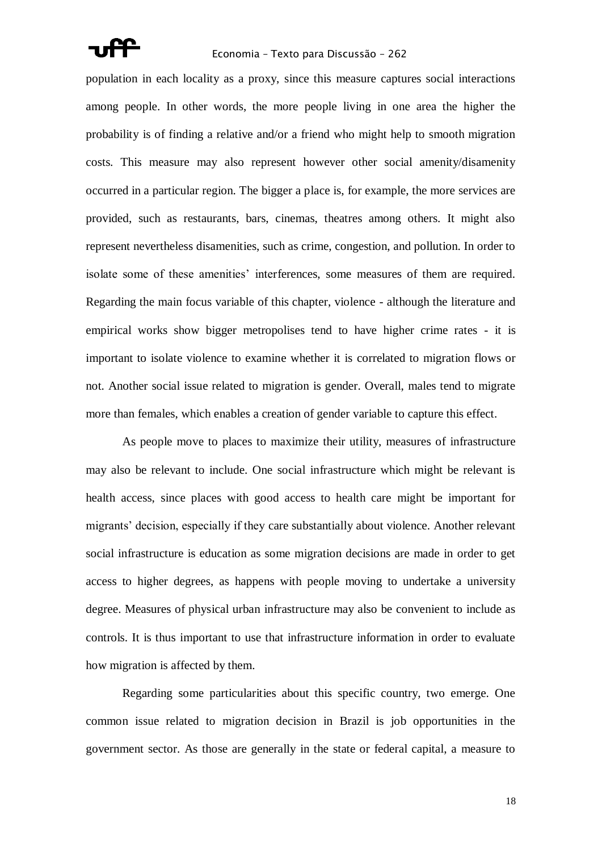

population in each locality as a proxy, since this measure captures social interactions among people. In other words, the more people living in one area the higher the probability is of finding a relative and/or a friend who might help to smooth migration costs. This measure may also represent however other social amenity/disamenity occurred in a particular region. The bigger a place is, for example, the more services are provided, such as restaurants, bars, cinemas, theatres among others. It might also represent nevertheless disamenities, such as crime, congestion, and pollution. In order to isolate some of these amenities' interferences, some measures of them are required. Regarding the main focus variable of this chapter, violence - although the literature and empirical works show bigger metropolises tend to have higher crime rates - it is important to isolate violence to examine whether it is correlated to migration flows or not. Another social issue related to migration is gender. Overall, males tend to migrate more than females, which enables a creation of gender variable to capture this effect.

As people move to places to maximize their utility, measures of infrastructure may also be relevant to include. One social infrastructure which might be relevant is health access, since places with good access to health care might be important for migrants' decision, especially if they care substantially about violence. Another relevant social infrastructure is education as some migration decisions are made in order to get access to higher degrees, as happens with people moving to undertake a university degree. Measures of physical urban infrastructure may also be convenient to include as controls. It is thus important to use that infrastructure information in order to evaluate how migration is affected by them.

Regarding some particularities about this specific country, two emerge. One common issue related to migration decision in Brazil is job opportunities in the government sector. As those are generally in the state or federal capital, a measure to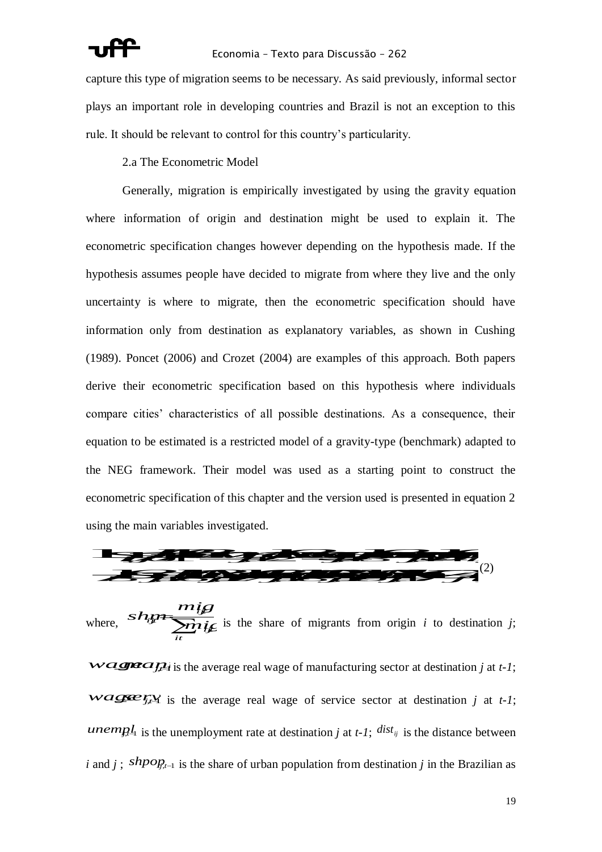capture this type of migration seems to be necessary. As said previously, informal sector plays an important role in developing countries and Brazil is not an exception to this rule. It should be relevant to control for this country"s particularity.

2.a The Econometric Model

Generally, migration is empirically investigated by using the gravity equation where information of origin and destination might be used to explain it. The econometric specification changes however depending on the hypothesis made. If the hypothesis assumes people have decided to migrate from where they live and the only uncertainty is where to migrate, then the econometric specification should have information only from destination as explanatory variables, as shown in Cushing (1989). Poncet (2006) and Crozet (2004) are examples of this approach. Both papers derive their econometric specification based on this hypothesis where individuals compare cities" characteristics of all possible destinations. As a consequence, their equation to be estimated is a restricted model of a gravity-type (benchmark) adapted to the NEG framework. Their model was used as a starting point to construct the econometric specification of this chapter and the version used is presented in equation 2 using the main variables investigated. **he main variables investigated.**<br> **Show the main variables investigated.**<br> **Show the main variables investigated.**<br> **Exercise 2020 C** (2) Their model was used as a starting point to construct the prometric specification of this chapter and the version used is presented in equation 2 ang the main variables investigated. metric specification of this chapter and the version used is presented in equation 2<br>
the main variables investigated.<br>
<br>
<br>
(2) he NEG framework. Their model was used as a starting point to construct the conometric specification of this chapter and the version used is presented in equation 2 sing the main variables investigated. conometric specification of this chapter and the version used is presented in equation 2<br>sing the main variables investigated.<br> $(2)$ For framework. Their model was used as a starting point to construct the tric specification of this chapter and the version used is presented in equation 2 main variables investigated.



where,  $\sum_{i} m_{i}i_{j}g$  is the share of migrants from origin *i* to destination *j*; *it*  $i \neq$  is the share *if*  $m$ *i<sub>j</sub>g*<br>*i*<sub>g</sub>  $\overline{m}$ *i*<sub>jg</sub> is the share of migrants from origin *i* to *mig*  $ship$   $\overline{m}$  is the share of migrants from origin *i* to desting  $\epsilon$  is the sha  $\mathcal{B}$  $\overline{m}$   $\overline{m}$  is the share of migrants from origin *i* to destination *j*;

*wageau* is the average real wage of manufacturing sector at destination *j* at *t-1*;  $wa$ ge  $f_i$ <sup>*x*</sup> is the average real wage of service sector at destination *j* at *t-1*; *unempl*<sub>4</sub> is the unemployment rate at destination *j* at *t-1*;  $dist_{ij}$  is the distance between *i* and *j*;  $shpo_{H_{t-1}}$  is the share of urban population from destination *j* in the Brazilian as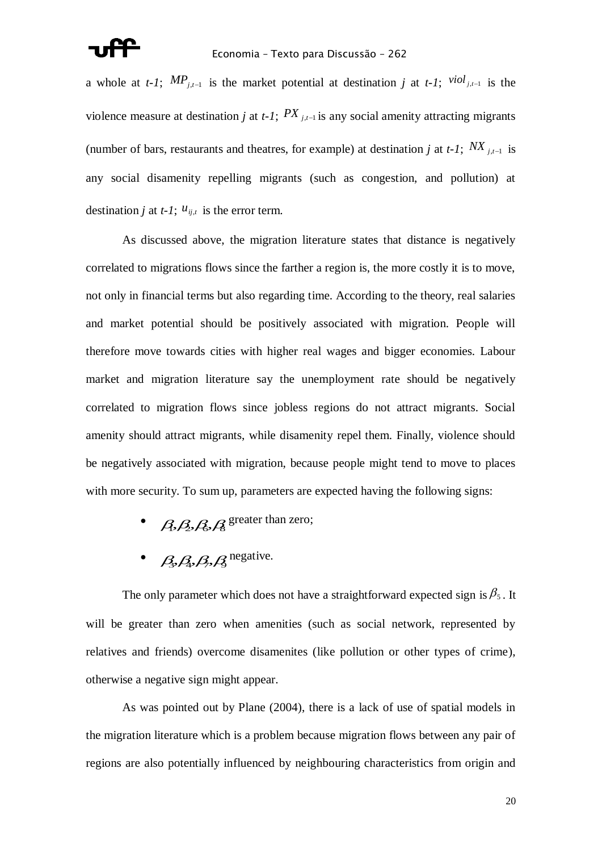a whole at *t-1*;  $MP_{j,t-1}$  is the market potential at destination *j* at *t-1*;  $\frac{viol_{j,t-1}}{s}$  is the violence measure at destination *j* at *t*-*1*;  $PX$   $_{j,t-1}$  is any social amenity attracting migrants (number of bars, restaurants and theatres, for example) at destination *j* at *t*-1;  $N X_{j,t-1}$  is any social disamenity repelling migrants (such as congestion, and pollution) at destination *j* at *t*-1;  $u_{ij,t}$  is the error term.

As discussed above, the migration literature states that distance is negatively correlated to migrations flows since the farther a region is, the more costly it is to move, not only in financial terms but also regarding time. According to the theory, real salaries and market potential should be positively associated with migration. People will therefore move towards cities with higher real wages and bigger economies. Labour market and migration literature say the unemployment rate should be negatively correlated to migration flows since jobless regions do not attract migrants. Social amenity should attract migrants, while disamenity repel them. Finally, violence should be negatively associated with migration, because people might tend to move to places with more security. To sum up, parameters are expected having the following signs:

- $\beta$ , $\beta$ , $\beta$ , $\beta$  greater than zero;
- $\bullet$   $\beta_3$ ,  $\beta_4$ ,  $\beta_5$ ,  $\beta_3$  negative.

The only parameter which does not have a straightforward expected sign is  $\beta_5$ . It will be greater than zero when amenities (such as social network, represented by relatives and friends) overcome disamenites (like pollution or other types of crime), otherwise a negative sign might appear.

As was pointed out by Plane (2004), there is a lack of use of spatial models in the migration literature which is a problem because migration flows between any pair of regions are also potentially influenced by neighbouring characteristics from origin and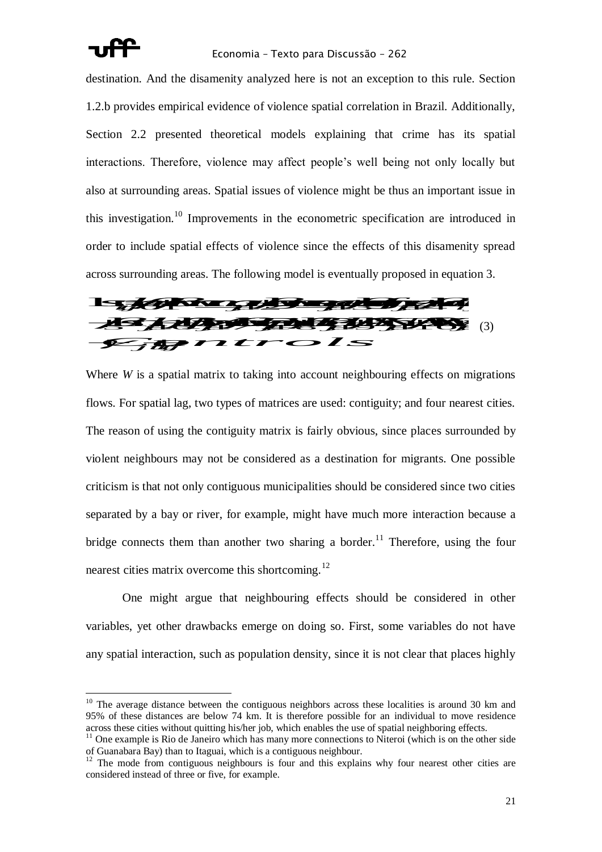

# Economia – Texto para Discussão – 262

destination. And the disamenity analyzed here is not an exception to this rule. Section 1.2.b provides empirical evidence of violence spatial correlation in Brazil. Additionally, Section 2.2 presented theoretical models explaining that crime has its spatial interactions. Therefore, violence may affect people"s well being not only locally but also at surrounding areas. Spatial issues of violence might be thus an important issue in this investigation.<sup>10</sup> Improvements in the econometric specification are introduced in order to include spatial effects of violence since the effects of this disamenity spread *shmwager* to include spatial effects of violence since the effects of this disamenity spread<br>
ross surrounding areas. The following model is eventually proposed in equation 3. order to include spatial effects of violence since the effects of this disamenity spread<br>across surrounding areas. The following model is eventually proposed in equation 3. include spatial effects of violence since the effects of this disamenity spread<br>urrounding areas. The following model is eventually proposed in equation 3.



Where *W* is a spatial matrix to taking into account neighbouring effects on migrations flows. For spatial lag, two types of matrices are used: contiguity; and four nearest cities. The reason of using the contiguity matrix is fairly obvious, since places surrounded by violent neighbours may not be considered as a destination for migrants. One possible criticism is that not only contiguous municipalities should be considered since two cities separated by a bay or river, for example, might have much more interaction because a bridge connects them than another two sharing a border.<sup>11</sup> Therefore, using the four nearest cities matrix overcome this shortcoming.<sup>12</sup>

One might argue that neighbouring effects should be considered in other variables, yet other drawbacks emerge on doing so. First, some variables do not have any spatial interaction, such as population density, since it is not clear that places highly

 $10$  The average distance between the contiguous neighbors across these localities is around 30 km and 95% of these distances are below 74 km. It is therefore possible for an individual to move residence across these cities without quitting his/her job, which enables the use of spatial neighboring effects.

 $11$  One example is Rio de Janeiro which has many more connections to Niteroi (which is on the other side of Guanabara Bay) than to Itaguai, which is a contiguous neighbour.

 $12$  The mode from contiguous neighbours is four and this explains why four nearest other cities are considered instead of three or five, for example.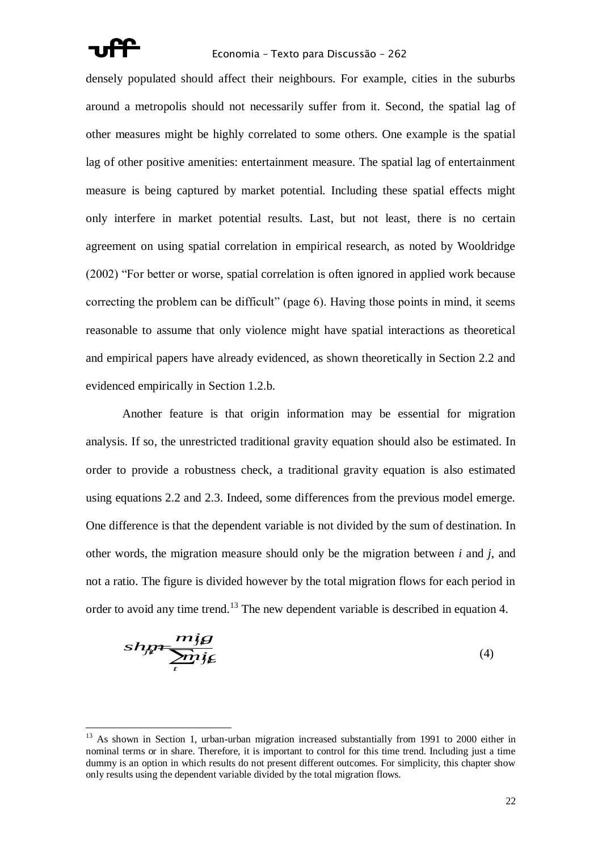

### Economia – Texto para Discussão – 262

densely populated should affect their neighbours. For example, cities in the suburbs around a metropolis should not necessarily suffer from it. Second, the spatial lag of other measures might be highly correlated to some others. One example is the spatial lag of other positive amenities: entertainment measure. The spatial lag of entertainment measure is being captured by market potential. Including these spatial effects might only interfere in market potential results. Last, but not least, there is no certain agreement on using spatial correlation in empirical research, as noted by Wooldridge (2002) "For better or worse, spatial correlation is often ignored in applied work because correcting the problem can be difficult" (page 6). Having those points in mind, it seems reasonable to assume that only violence might have spatial interactions as theoretical and empirical papers have already evidenced, as shown theoretically in Section 2.2 and evidenced empirically in Section 1.2.b.

Another feature is that origin information may be essential for migration analysis. If so, the unrestricted traditional gravity equation should also be estimated. In order to provide a robustness check, a traditional gravity equation is also estimated using equations 2.2 and 2.3. Indeed, some differences from the previous model emerge. One difference is that the dependent variable is not divided by the sum of destination. In other words, the migration measure should only be the migration between *i* and *j*, and not a ratio. The figure is divided however by the total migration flows for each period in order to avoid any time trend.<sup>13</sup> The new dependent variable is described in equation 4.

$$
shy = \frac{mig}{\sum n_{ij}} \tag{4}
$$

<sup>&</sup>lt;sup>13</sup> As shown in Section 1, urban-urban migration increased substantially from 1991 to 2000 either in nominal terms or in share. Therefore, it is important to control for this time trend. Including just a time dummy is an option in which results do not present different outcomes. For simplicity, this chapter show only results using the dependent variable divided by the total migration flows.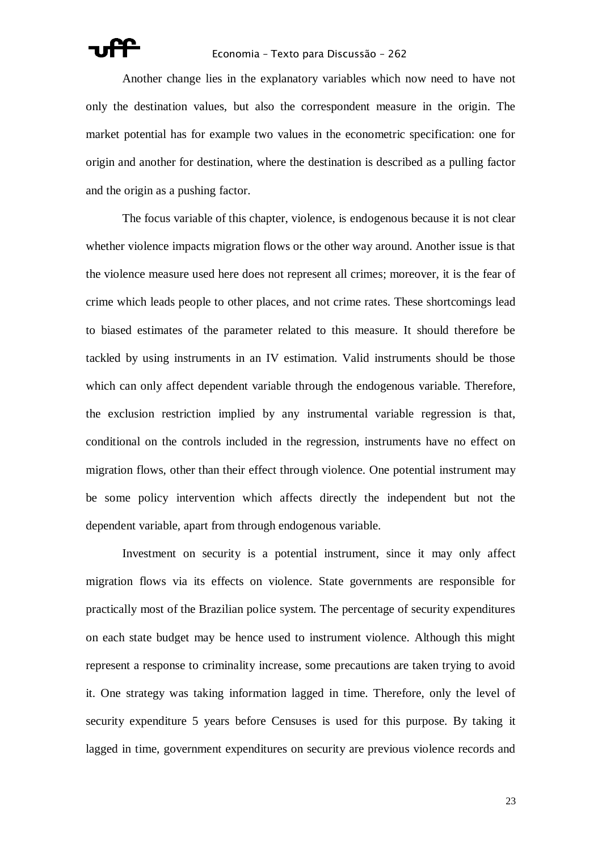

Another change lies in the explanatory variables which now need to have not only the destination values, but also the correspondent measure in the origin. The market potential has for example two values in the econometric specification: one for origin and another for destination, where the destination is described as a pulling factor and the origin as a pushing factor.

The focus variable of this chapter, violence, is endogenous because it is not clear whether violence impacts migration flows or the other way around. Another issue is that the violence measure used here does not represent all crimes; moreover, it is the fear of crime which leads people to other places, and not crime rates. These shortcomings lead to biased estimates of the parameter related to this measure. It should therefore be tackled by using instruments in an IV estimation. Valid instruments should be those which can only affect dependent variable through the endogenous variable. Therefore, the exclusion restriction implied by any instrumental variable regression is that, conditional on the controls included in the regression, instruments have no effect on migration flows, other than their effect through violence. One potential instrument may be some policy intervention which affects directly the independent but not the dependent variable, apart from through endogenous variable.

Investment on security is a potential instrument, since it may only affect migration flows via its effects on violence. State governments are responsible for practically most of the Brazilian police system. The percentage of security expenditures on each state budget may be hence used to instrument violence. Although this might represent a response to criminality increase, some precautions are taken trying to avoid it. One strategy was taking information lagged in time. Therefore, only the level of security expenditure 5 years before Censuses is used for this purpose. By taking it lagged in time, government expenditures on security are previous violence records and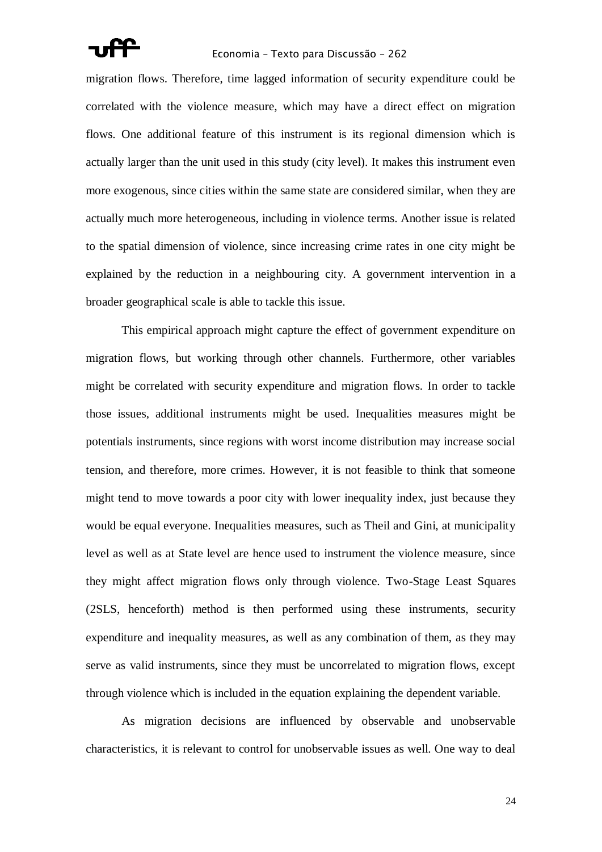migration flows. Therefore, time lagged information of security expenditure could be correlated with the violence measure, which may have a direct effect on migration flows. One additional feature of this instrument is its regional dimension which is actually larger than the unit used in this study (city level). It makes this instrument even more exogenous, since cities within the same state are considered similar, when they are actually much more heterogeneous, including in violence terms. Another issue is related to the spatial dimension of violence, since increasing crime rates in one city might be explained by the reduction in a neighbouring city. A government intervention in a broader geographical scale is able to tackle this issue.

This empirical approach might capture the effect of government expenditure on migration flows, but working through other channels. Furthermore, other variables might be correlated with security expenditure and migration flows. In order to tackle those issues, additional instruments might be used. Inequalities measures might be potentials instruments, since regions with worst income distribution may increase social tension, and therefore, more crimes. However, it is not feasible to think that someone might tend to move towards a poor city with lower inequality index, just because they would be equal everyone. Inequalities measures, such as Theil and Gini, at municipality level as well as at State level are hence used to instrument the violence measure, since they might affect migration flows only through violence. Two-Stage Least Squares (2SLS, henceforth) method is then performed using these instruments, security expenditure and inequality measures, as well as any combination of them, as they may serve as valid instruments, since they must be uncorrelated to migration flows, except through violence which is included in the equation explaining the dependent variable.

As migration decisions are influenced by observable and unobservable characteristics, it is relevant to control for unobservable issues as well. One way to deal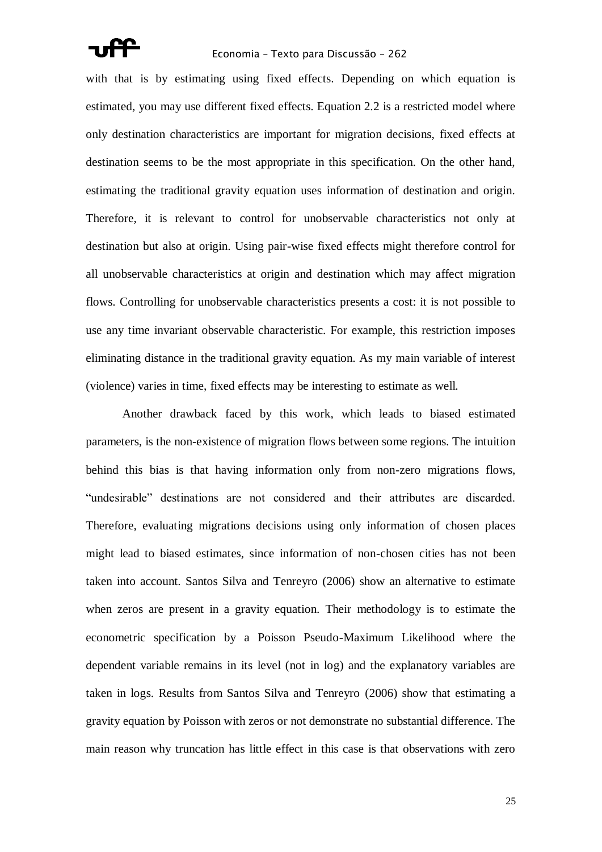with that is by estimating using fixed effects. Depending on which equation is estimated, you may use different fixed effects. Equation 2.2 is a restricted model where only destination characteristics are important for migration decisions, fixed effects at destination seems to be the most appropriate in this specification. On the other hand, estimating the traditional gravity equation uses information of destination and origin. Therefore, it is relevant to control for unobservable characteristics not only at destination but also at origin. Using pair-wise fixed effects might therefore control for all unobservable characteristics at origin and destination which may affect migration flows. Controlling for unobservable characteristics presents a cost: it is not possible to use any time invariant observable characteristic. For example, this restriction imposes eliminating distance in the traditional gravity equation. As my main variable of interest (violence) varies in time, fixed effects may be interesting to estimate as well.

Another drawback faced by this work, which leads to biased estimated parameters, is the non-existence of migration flows between some regions. The intuition behind this bias is that having information only from non-zero migrations flows, "undesirable" destinations are not considered and their attributes are discarded. Therefore, evaluating migrations decisions using only information of chosen places might lead to biased estimates, since information of non-chosen cities has not been taken into account. Santos Silva and Tenreyro (2006) show an alternative to estimate when zeros are present in a gravity equation. Their methodology is to estimate the econometric specification by a Poisson Pseudo-Maximum Likelihood where the dependent variable remains in its level (not in log) and the explanatory variables are taken in logs. Results from Santos Silva and Tenreyro (2006) show that estimating a gravity equation by Poisson with zeros or not demonstrate no substantial difference. The main reason why truncation has little effect in this case is that observations with zero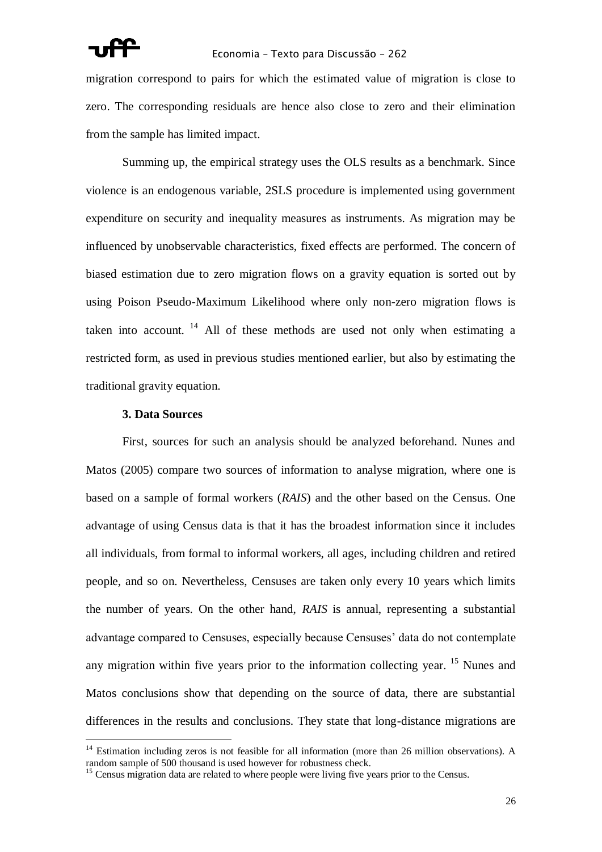migration correspond to pairs for which the estimated value of migration is close to zero. The corresponding residuals are hence also close to zero and their elimination from the sample has limited impact.

Summing up, the empirical strategy uses the OLS results as a benchmark. Since violence is an endogenous variable, 2SLS procedure is implemented using government expenditure on security and inequality measures as instruments. As migration may be influenced by unobservable characteristics, fixed effects are performed. The concern of biased estimation due to zero migration flows on a gravity equation is sorted out by using Poison Pseudo-Maximum Likelihood where only non-zero migration flows is taken into account.  $14$  All of these methods are used not only when estimating a restricted form, as used in previous studies mentioned earlier, but also by estimating the traditional gravity equation.

# **3. Data Sources**

 $\overline{a}$ 

First, sources for such an analysis should be analyzed beforehand. Nunes and Matos (2005) compare two sources of information to analyse migration, where one is based on a sample of formal workers (*RAIS*) and the other based on the Census. One advantage of using Census data is that it has the broadest information since it includes all individuals, from formal to informal workers, all ages, including children and retired people, and so on. Nevertheless, Censuses are taken only every 10 years which limits the number of years. On the other hand, *RAIS* is annual, representing a substantial advantage compared to Censuses, especially because Censuses" data do not contemplate any migration within five years prior to the information collecting year. <sup>15</sup> Nunes and Matos conclusions show that depending on the source of data, there are substantial differences in the results and conclusions. They state that long-distance migrations are

 $14$  Estimation including zeros is not feasible for all information (more than 26 million observations). A random sample of 500 thousand is used however for robustness check.

<sup>&</sup>lt;sup>15</sup> Census migration data are related to where people were living five years prior to the Census.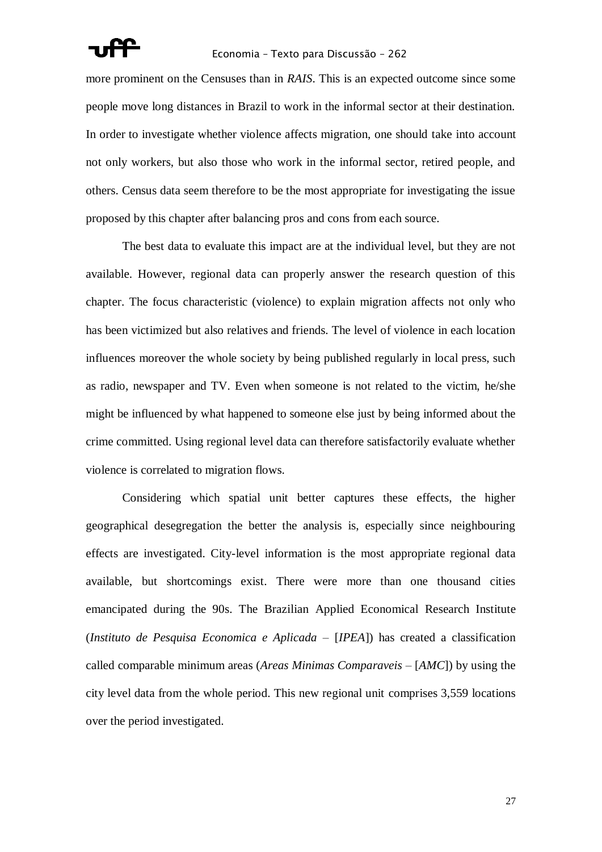

more prominent on the Censuses than in *RAIS*. This is an expected outcome since some people move long distances in Brazil to work in the informal sector at their destination. In order to investigate whether violence affects migration, one should take into account not only workers, but also those who work in the informal sector, retired people, and others. Census data seem therefore to be the most appropriate for investigating the issue proposed by this chapter after balancing pros and cons from each source.

The best data to evaluate this impact are at the individual level, but they are not available. However, regional data can properly answer the research question of this chapter. The focus characteristic (violence) to explain migration affects not only who has been victimized but also relatives and friends. The level of violence in each location influences moreover the whole society by being published regularly in local press, such as radio, newspaper and TV. Even when someone is not related to the victim, he/she might be influenced by what happened to someone else just by being informed about the crime committed. Using regional level data can therefore satisfactorily evaluate whether violence is correlated to migration flows.

Considering which spatial unit better captures these effects, the higher geographical desegregation the better the analysis is, especially since neighbouring effects are investigated. City-level information is the most appropriate regional data available, but shortcomings exist. There were more than one thousand cities emancipated during the 90s. The Brazilian Applied Economical Research Institute (*Instituto de Pesquisa Economica e Aplicada –* [*IPEA*]) has created a classification called comparable minimum areas (*Areas Minimas Comparaveis –* [*AMC*]) by using the city level data from the whole period. This new regional unit comprises 3,559 locations over the period investigated.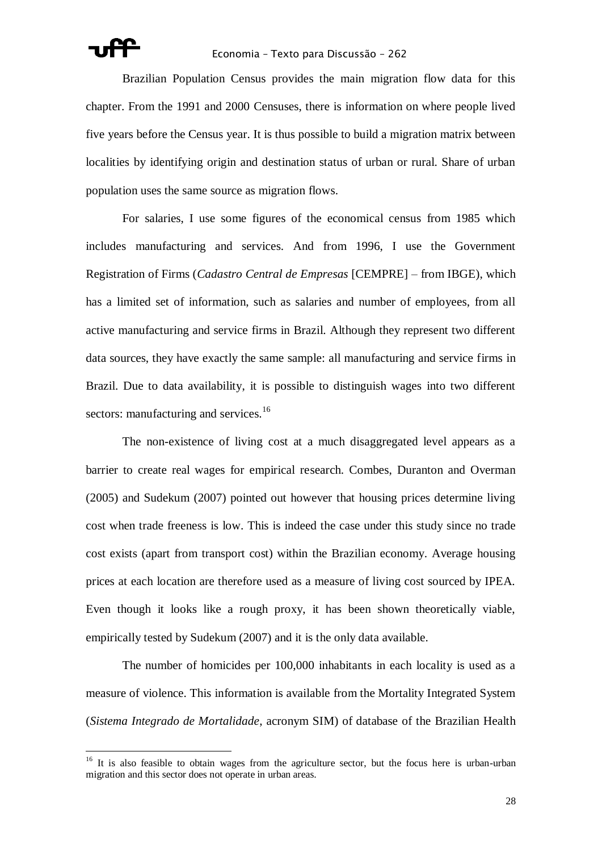

Brazilian Population Census provides the main migration flow data for this chapter. From the 1991 and 2000 Censuses, there is information on where people lived five years before the Census year. It is thus possible to build a migration matrix between localities by identifying origin and destination status of urban or rural. Share of urban population uses the same source as migration flows.

For salaries, I use some figures of the economical census from 1985 which includes manufacturing and services. And from 1996, I use the Government Registration of Firms (*Cadastro Central de Empresas* [CEMPRE] – from IBGE), which has a limited set of information, such as salaries and number of employees, from all active manufacturing and service firms in Brazil. Although they represent two different data sources, they have exactly the same sample: all manufacturing and service firms in Brazil. Due to data availability, it is possible to distinguish wages into two different sectors: manufacturing and services.<sup>16</sup>

The non-existence of living cost at a much disaggregated level appears as a barrier to create real wages for empirical research. Combes, Duranton and Overman (2005) and Sudekum (2007) pointed out however that housing prices determine living cost when trade freeness is low. This is indeed the case under this study since no trade cost exists (apart from transport cost) within the Brazilian economy. Average housing prices at each location are therefore used as a measure of living cost sourced by IPEA. Even though it looks like a rough proxy, it has been shown theoretically viable, empirically tested by Sudekum (2007) and it is the only data available.

The number of homicides per 100,000 inhabitants in each locality is used as a measure of violence. This information is available from the Mortality Integrated System (*Sistema Integrado de Mortalidade*, acronym SIM) of database of the Brazilian Health

<sup>&</sup>lt;sup>16</sup> It is also feasible to obtain wages from the agriculture sector, but the focus here is urban-urban migration and this sector does not operate in urban areas.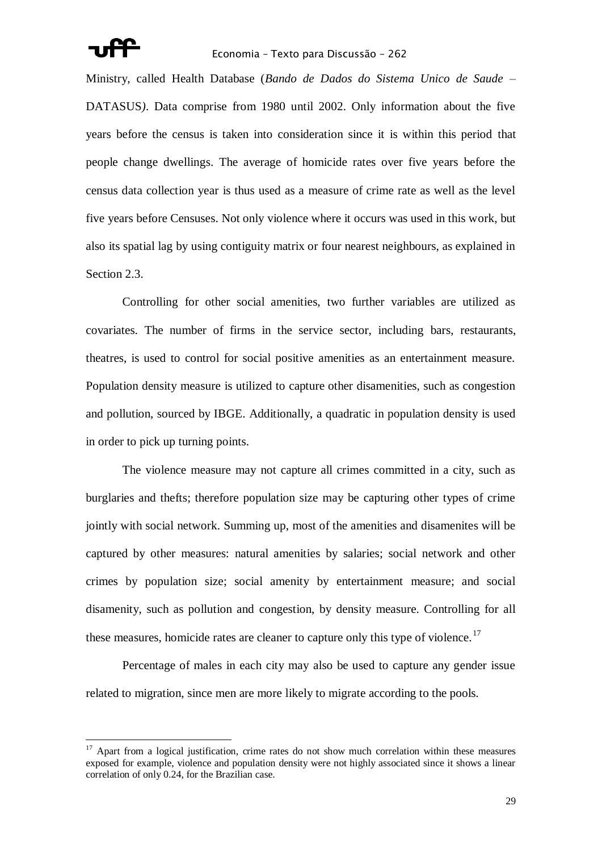

### Economia – Texto para Discussão – 262

Ministry, called Health Database (*Bando de Dados do Sistema Unico de Saude* – DATASUS*)*. Data comprise from 1980 until 2002. Only information about the five years before the census is taken into consideration since it is within this period that people change dwellings. The average of homicide rates over five years before the census data collection year is thus used as a measure of crime rate as well as the level five years before Censuses. Not only violence where it occurs was used in this work, but also its spatial lag by using contiguity matrix or four nearest neighbours, as explained in Section 2.3.

Controlling for other social amenities, two further variables are utilized as covariates. The number of firms in the service sector, including bars, restaurants, theatres, is used to control for social positive amenities as an entertainment measure. Population density measure is utilized to capture other disamenities, such as congestion and pollution, sourced by IBGE. Additionally, a quadratic in population density is used in order to pick up turning points.

The violence measure may not capture all crimes committed in a city, such as burglaries and thefts; therefore population size may be capturing other types of crime jointly with social network. Summing up, most of the amenities and disamenites will be captured by other measures: natural amenities by salaries; social network and other crimes by population size; social amenity by entertainment measure; and social disamenity, such as pollution and congestion, by density measure. Controlling for all these measures, homicide rates are cleaner to capture only this type of violence.<sup>17</sup>

Percentage of males in each city may also be used to capture any gender issue related to migration, since men are more likely to migrate according to the pools.

Apart from a logical justification, crime rates do not show much correlation within these measures exposed for example, violence and population density were not highly associated since it shows a linear correlation of only 0.24, for the Brazilian case.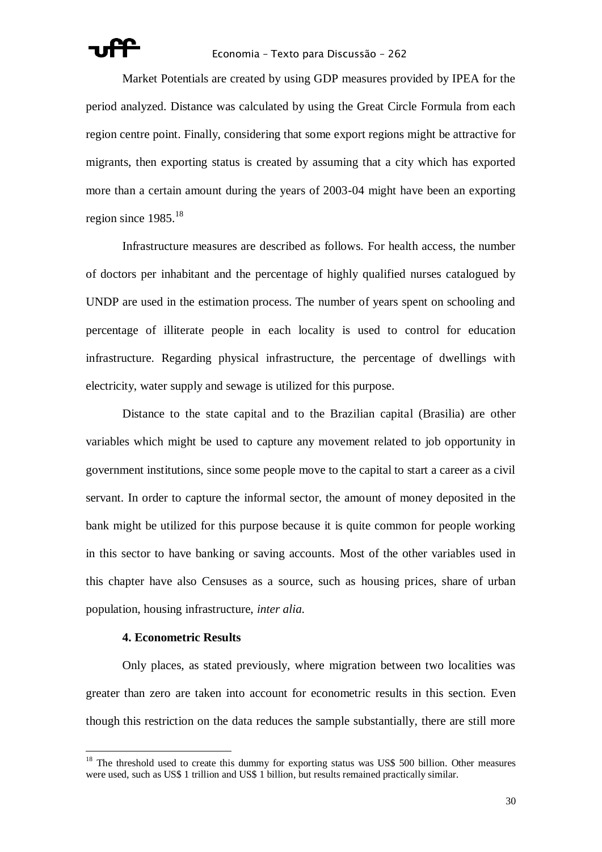

Market Potentials are created by using GDP measures provided by IPEA for the period analyzed. Distance was calculated by using the Great Circle Formula from each region centre point. Finally, considering that some export regions might be attractive for migrants, then exporting status is created by assuming that a city which has exported more than a certain amount during the years of 2003-04 might have been an exporting region since  $1985$ <sup>18</sup>

Infrastructure measures are described as follows. For health access, the number of doctors per inhabitant and the percentage of highly qualified nurses catalogued by UNDP are used in the estimation process. The number of years spent on schooling and percentage of illiterate people in each locality is used to control for education infrastructure. Regarding physical infrastructure, the percentage of dwellings with electricity, water supply and sewage is utilized for this purpose.

Distance to the state capital and to the Brazilian capital (Brasilia) are other variables which might be used to capture any movement related to job opportunity in government institutions, since some people move to the capital to start a career as a civil servant. In order to capture the informal sector, the amount of money deposited in the bank might be utilized for this purpose because it is quite common for people working in this sector to have banking or saving accounts. Most of the other variables used in this chapter have also Censuses as a source, such as housing prices, share of urban population, housing infrastructure, *inter alia*.

# **4. Econometric Results**

 $\overline{a}$ 

Only places, as stated previously, where migration between two localities was greater than zero are taken into account for econometric results in this section. Even though this restriction on the data reduces the sample substantially, there are still more

 $18$  The threshold used to create this dummy for exporting status was US\$ 500 billion. Other measures were used, such as US\$ 1 trillion and US\$ 1 billion, but results remained practically similar.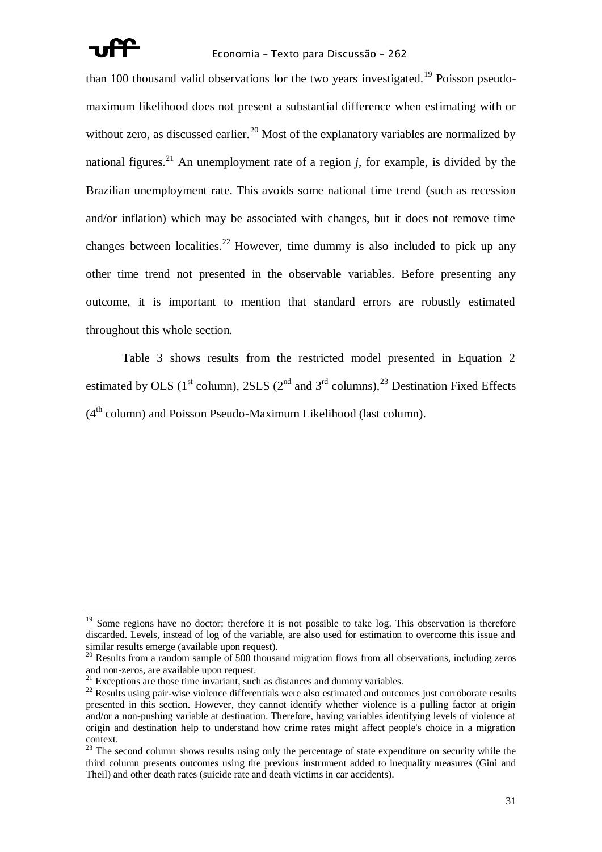

## Economia – Texto para Discussão – 262

than 100 thousand valid observations for the two years investigated.<sup>19</sup> Poisson pseudomaximum likelihood does not present a substantial difference when estimating with or without zero, as discussed earlier.<sup>20</sup> Most of the explanatory variables are normalized by national figures.<sup>21</sup> An unemployment rate of a region *j*, for example, is divided by the Brazilian unemployment rate. This avoids some national time trend (such as recession and/or inflation) which may be associated with changes, but it does not remove time changes between localities.<sup>22</sup> However, time dummy is also included to pick up any other time trend not presented in the observable variables. Before presenting any outcome, it is important to mention that standard errors are robustly estimated throughout this whole section.

Table 3 shows results from the restricted model presented in Equation 2 estimated by OLS ( $1^{\text{st}}$  column), 2SLS ( $2^{\text{nd}}$  and  $3^{\text{rd}}$  columns),  $2^{\text{3}}$  Destination Fixed Effects  $(4<sup>th</sup> column)$  and Poisson Pseudo-Maximum Likelihood (last column).

 $19$  Some regions have no doctor; therefore it is not possible to take log. This observation is therefore discarded. Levels, instead of log of the variable, are also used for estimation to overcome this issue and similar results emerge (available upon request).

<sup>&</sup>lt;sup>20</sup> Results from a random sample of 500 thousand migration flows from all observations, including zeros and non-zeros, are available upon request.

 $21$  Exceptions are those time invariant, such as distances and dummy variables.

<sup>&</sup>lt;sup>22</sup> Results using pair-wise violence differentials were also estimated and outcomes just corroborate results presented in this section. However, they cannot identify whether violence is a pulling factor at origin and/or a non-pushing variable at destination. Therefore, having variables identifying levels of violence at origin and destination help to understand how crime rates might affect people's choice in a migration context.

 $23$  The second column shows results using only the percentage of state expenditure on security while the third column presents outcomes using the previous instrument added to inequality measures (Gini and Theil) and other death rates (suicide rate and death victims in car accidents).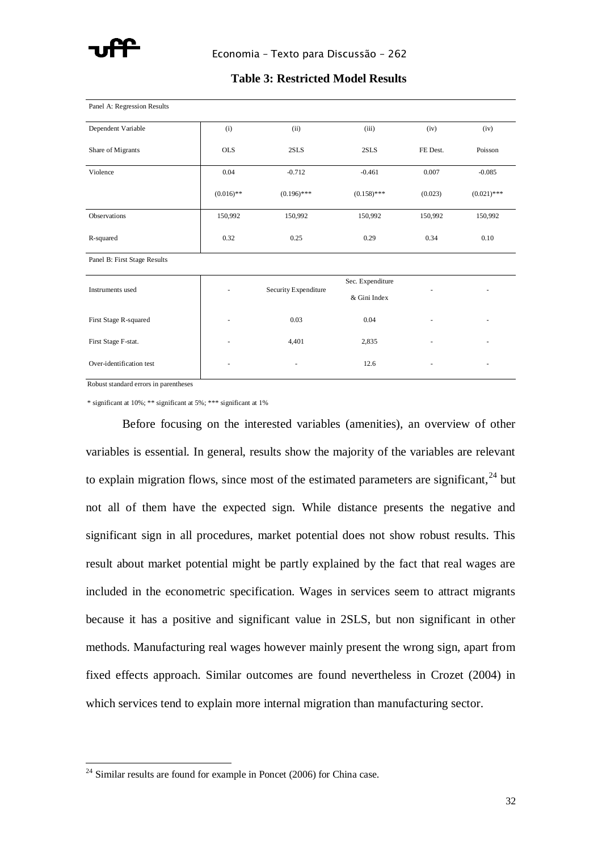

# **Table 3: Restricted Model Results**

| Panel A: Regression Results  |              |                      |                  |          |               |
|------------------------------|--------------|----------------------|------------------|----------|---------------|
| Dependent Variable           | (i)          | (ii)                 | (iii)            | (iv)     | (iv)          |
| Share of Migrants            | <b>OLS</b>   | 2SLS                 | 2SLS             | FE Dest. | Poisson       |
| Violence                     | 0.04         | $-0.712$             | $-0.461$         | 0.007    | $-0.085$      |
|                              | $(0.016)$ ** | $(0.196)$ ***        | $(0.158)$ ***    | (0.023)  | $(0.021)$ *** |
| Observations                 | 150,992      | 150,992              | 150,992          | 150,992  | 150,992       |
| R-squared                    | 0.32         | 0.25                 | 0.29             | 0.34     | 0.10          |
| Panel B: First Stage Results |              |                      |                  |          |               |
| Instruments used             |              | Security Expenditure | Sec. Expenditure |          |               |
|                              |              |                      | & Gini Index     |          |               |
| First Stage R-squared        |              | 0.03                 | 0.04             |          |               |
| First Stage F-stat.          |              | 4,401                | 2,835            |          |               |
| Over-identification test     |              | ۰                    | 12.6             |          |               |

Robust standard errors in parentheses

 $\overline{a}$ 

\* significant at 10%; \*\* significant at 5%; \*\*\* significant at 1%

Before focusing on the interested variables (amenities), an overview of other variables is essential. In general, results show the majority of the variables are relevant to explain migration flows, since most of the estimated parameters are significant,  $24$  but not all of them have the expected sign. While distance presents the negative and significant sign in all procedures, market potential does not show robust results. This result about market potential might be partly explained by the fact that real wages are included in the econometric specification. Wages in services seem to attract migrants because it has a positive and significant value in 2SLS, but non significant in other methods. Manufacturing real wages however mainly present the wrong sign, apart from fixed effects approach. Similar outcomes are found nevertheless in Crozet (2004) in which services tend to explain more internal migration than manufacturing sector.

 $24$  Similar results are found for example in Poncet (2006) for China case.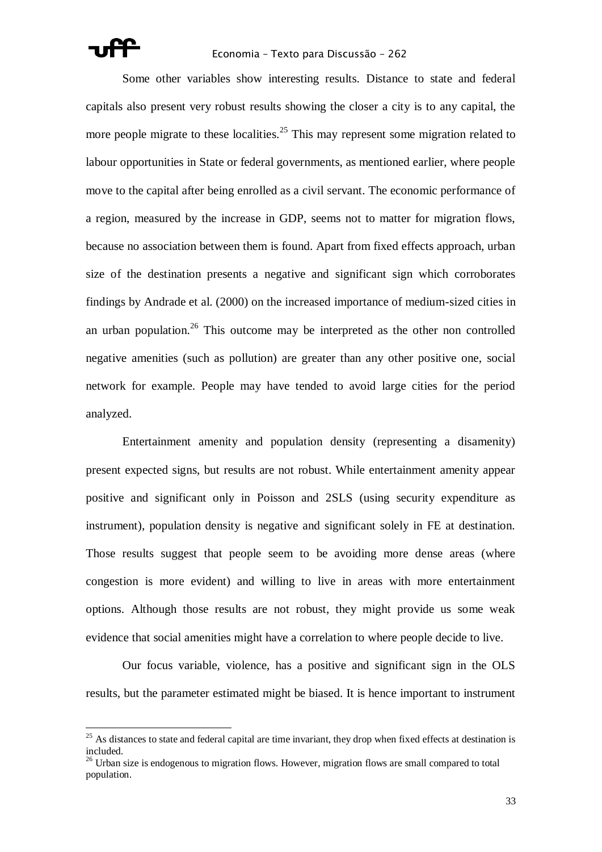

### Economia – Texto para Discussão – 262

Some other variables show interesting results. Distance to state and federal capitals also present very robust results showing the closer a city is to any capital, the more people migrate to these localities.<sup>25</sup> This may represent some migration related to labour opportunities in State or federal governments, as mentioned earlier, where people move to the capital after being enrolled as a civil servant. The economic performance of a region, measured by the increase in GDP, seems not to matter for migration flows, because no association between them is found. Apart from fixed effects approach, urban size of the destination presents a negative and significant sign which corroborates findings by Andrade et al. (2000) on the increased importance of medium-sized cities in an urban population.<sup>26</sup> This outcome may be interpreted as the other non controlled negative amenities (such as pollution) are greater than any other positive one, social network for example. People may have tended to avoid large cities for the period analyzed.

Entertainment amenity and population density (representing a disamenity) present expected signs, but results are not robust. While entertainment amenity appear positive and significant only in Poisson and 2SLS (using security expenditure as instrument), population density is negative and significant solely in FE at destination. Those results suggest that people seem to be avoiding more dense areas (where congestion is more evident) and willing to live in areas with more entertainment options. Although those results are not robust, they might provide us some weak evidence that social amenities might have a correlation to where people decide to live.

Our focus variable, violence, has a positive and significant sign in the OLS results, but the parameter estimated might be biased. It is hence important to instrument

 $25$  As distances to state and federal capital are time invariant, they drop when fixed effects at destination is included.

 $26$  Urban size is endogenous to migration flows. However, migration flows are small compared to total population.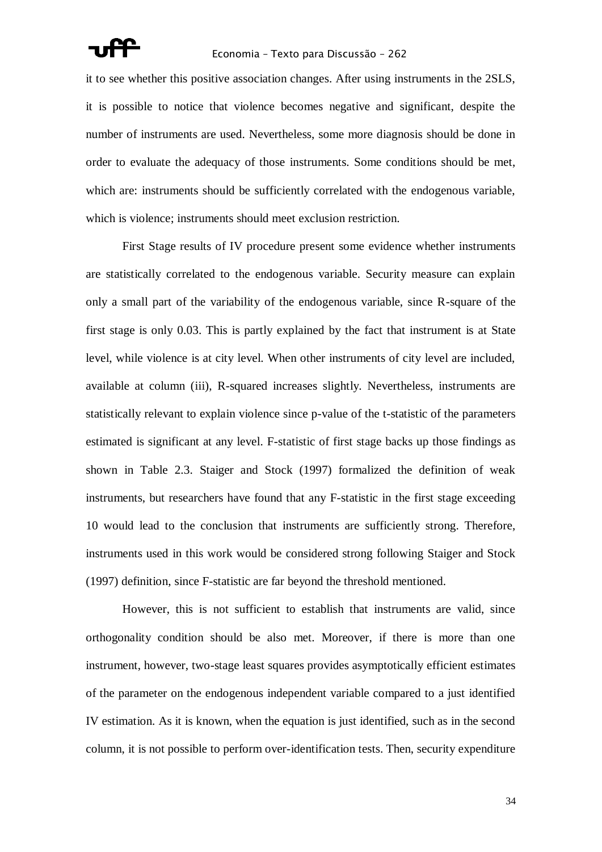it to see whether this positive association changes. After using instruments in the 2SLS, it is possible to notice that violence becomes negative and significant, despite the number of instruments are used. Nevertheless, some more diagnosis should be done in order to evaluate the adequacy of those instruments. Some conditions should be met, which are: instruments should be sufficiently correlated with the endogenous variable, which is violence; instruments should meet exclusion restriction.

First Stage results of IV procedure present some evidence whether instruments are statistically correlated to the endogenous variable. Security measure can explain only a small part of the variability of the endogenous variable, since R-square of the first stage is only 0.03. This is partly explained by the fact that instrument is at State level, while violence is at city level. When other instruments of city level are included, available at column (iii), R-squared increases slightly. Nevertheless, instruments are statistically relevant to explain violence since p-value of the t-statistic of the parameters estimated is significant at any level. F-statistic of first stage backs up those findings as shown in Table 2.3. Staiger and Stock (1997) formalized the definition of weak instruments, but researchers have found that any F-statistic in the first stage exceeding 10 would lead to the conclusion that instruments are sufficiently strong. Therefore, instruments used in this work would be considered strong following Staiger and Stock (1997) definition, since F-statistic are far beyond the threshold mentioned.

However, this is not sufficient to establish that instruments are valid, since orthogonality condition should be also met. Moreover, if there is more than one instrument, however, two-stage least squares provides asymptotically efficient estimates of the parameter on the endogenous independent variable compared to a just identified IV estimation. As it is known, when the equation is just identified, such as in the second column, it is not possible to perform over-identification tests. Then, security expenditure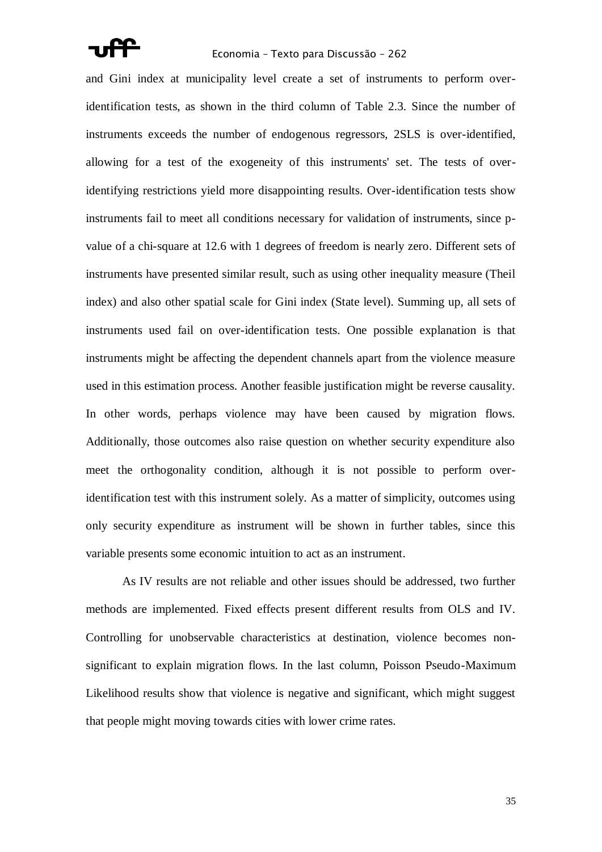and Gini index at municipality level create a set of instruments to perform overidentification tests, as shown in the third column of Table 2.3. Since the number of instruments exceeds the number of endogenous regressors, 2SLS is over-identified, allowing for a test of the exogeneity of this instruments' set. The tests of overidentifying restrictions yield more disappointing results. Over-identification tests show instruments fail to meet all conditions necessary for validation of instruments, since pvalue of a chi-square at 12.6 with 1 degrees of freedom is nearly zero. Different sets of instruments have presented similar result, such as using other inequality measure (Theil index) and also other spatial scale for Gini index (State level). Summing up, all sets of instruments used fail on over-identification tests. One possible explanation is that instruments might be affecting the dependent channels apart from the violence measure used in this estimation process. Another feasible justification might be reverse causality. In other words, perhaps violence may have been caused by migration flows. Additionally, those outcomes also raise question on whether security expenditure also meet the orthogonality condition, although it is not possible to perform overidentification test with this instrument solely. As a matter of simplicity, outcomes using only security expenditure as instrument will be shown in further tables, since this variable presents some economic intuition to act as an instrument.

As IV results are not reliable and other issues should be addressed, two further methods are implemented. Fixed effects present different results from OLS and IV. Controlling for unobservable characteristics at destination, violence becomes nonsignificant to explain migration flows. In the last column, Poisson Pseudo-Maximum Likelihood results show that violence is negative and significant, which might suggest that people might moving towards cities with lower crime rates.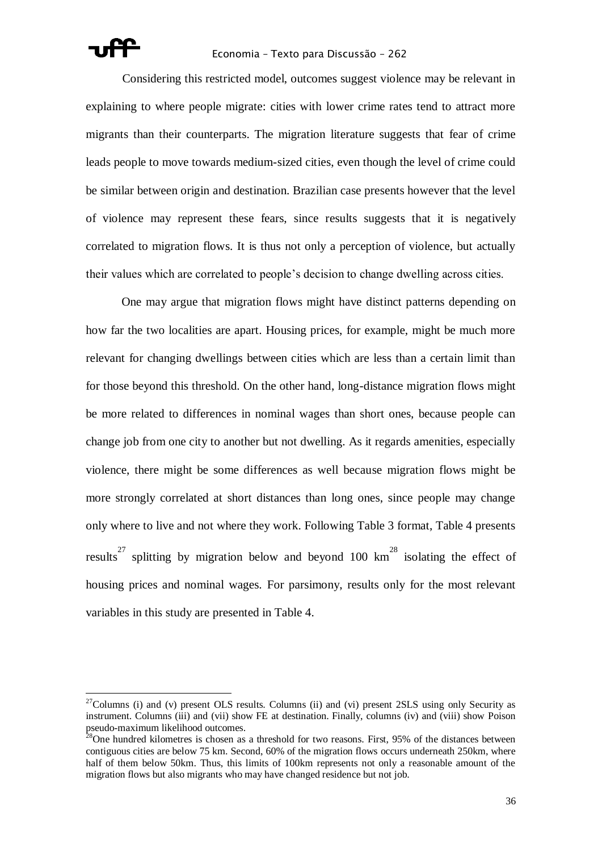

### Economia – Texto para Discussão – 262

Considering this restricted model, outcomes suggest violence may be relevant in explaining to where people migrate: cities with lower crime rates tend to attract more migrants than their counterparts. The migration literature suggests that fear of crime leads people to move towards medium-sized cities, even though the level of crime could be similar between origin and destination. Brazilian case presents however that the level of violence may represent these fears, since results suggests that it is negatively correlated to migration flows. It is thus not only a perception of violence, but actually their values which are correlated to people"s decision to change dwelling across cities.

One may argue that migration flows might have distinct patterns depending on how far the two localities are apart. Housing prices, for example, might be much more relevant for changing dwellings between cities which are less than a certain limit than for those beyond this threshold. On the other hand, long-distance migration flows might be more related to differences in nominal wages than short ones, because people can change job from one city to another but not dwelling. As it regards amenities, especially violence, there might be some differences as well because migration flows might be more strongly correlated at short distances than long ones, since people may change only where to live and not where they work. Following Table 3 format, Table 4 presents results<sup>27</sup> splitting by migration below and beyond 100 km<sup>28</sup> isolating the effect of housing prices and nominal wages. For parsimony, results only for the most relevant variables in this study are presented in Table 4.

<sup>&</sup>lt;sup>27</sup>Columns (i) and (v) present OLS results. Columns (ii) and (vi) present 2SLS using only Security as instrument. Columns (iii) and (vii) show FE at destination. Finally, columns (iv) and (viii) show Poison pseudo-maximum likelihood outcomes.

 $28$ One hundred kilometres is chosen as a threshold for two reasons. First, 95% of the distances between contiguous cities are below 75 km. Second, 60% of the migration flows occurs underneath 250km, where half of them below 50km. Thus, this limits of 100km represents not only a reasonable amount of the migration flows but also migrants who may have changed residence but not job.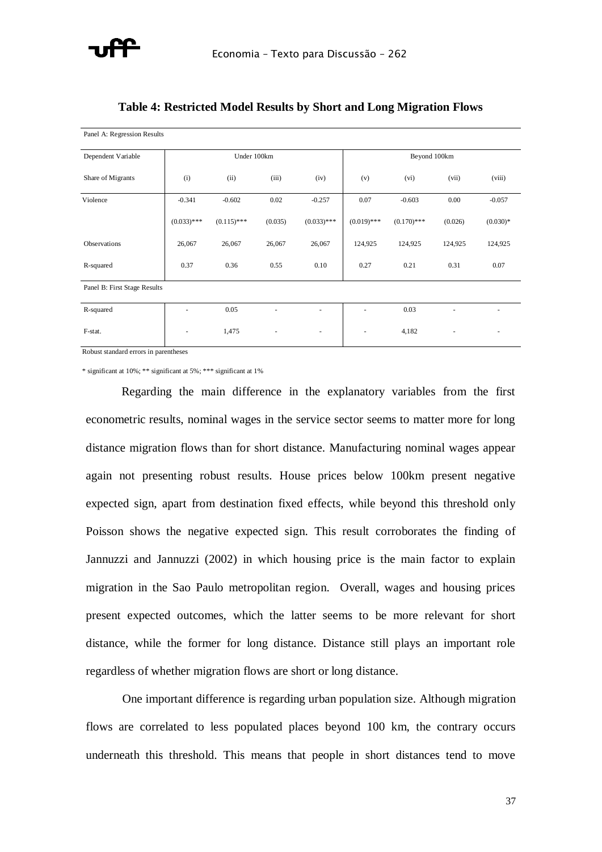

| Panel A: Regression Results  |                          |               |         |                          |                          |               |         |            |  |
|------------------------------|--------------------------|---------------|---------|--------------------------|--------------------------|---------------|---------|------------|--|
| Dependent Variable           | Under 100km              |               |         |                          |                          | Beyond 100km  |         |            |  |
| Share of Migrants            | (i)                      | (ii)          | (iii)   | (iv)                     | (v)                      | (vi)          | (vii)   | (viii)     |  |
| Violence                     | $-0.341$                 | $-0.602$      | 0.02    | $-0.257$                 | 0.07                     | $-0.603$      | 0.00    | $-0.057$   |  |
|                              | $(0.033)$ ***            | $(0.115)$ *** | (0.035) | $(0.033)$ ***            | $(0.019)$ ***            | $(0.170)$ *** | (0.026) | $(0.030)*$ |  |
| Observations                 | 26,067                   | 26,067        | 26,067  | 26,067                   | 124,925                  | 124,925       | 124,925 | 124,925    |  |
| R-squared                    | 0.37                     | 0.36          | 0.55    | 0.10                     | 0.27                     | 0.21          | 0.31    | 0.07       |  |
| Panel B: First Stage Results |                          |               |         |                          |                          |               |         |            |  |
| R-squared                    |                          | 0.05          | ä,      | ٠                        | ٠                        | 0.03          |         |            |  |
| F-stat.                      | $\overline{\phantom{a}}$ | 1,475         | $\sim$  | $\overline{\phantom{a}}$ | $\overline{\phantom{a}}$ | 4,182         |         | ٠          |  |

# **Table 4: Restricted Model Results by Short and Long Migration Flows**

Robust standard errors in parentheses

\* significant at 10%; \*\* significant at 5%; \*\*\* significant at 1%

Regarding the main difference in the explanatory variables from the first econometric results, nominal wages in the service sector seems to matter more for long distance migration flows than for short distance. Manufacturing nominal wages appear again not presenting robust results. House prices below 100km present negative expected sign, apart from destination fixed effects, while beyond this threshold only Poisson shows the negative expected sign. This result corroborates the finding of Jannuzzi and Jannuzzi (2002) in which housing price is the main factor to explain migration in the Sao Paulo metropolitan region. Overall, wages and housing prices present expected outcomes, which the latter seems to be more relevant for short distance, while the former for long distance. Distance still plays an important role regardless of whether migration flows are short or long distance.

One important difference is regarding urban population size. Although migration flows are correlated to less populated places beyond 100 km, the contrary occurs underneath this threshold. This means that people in short distances tend to move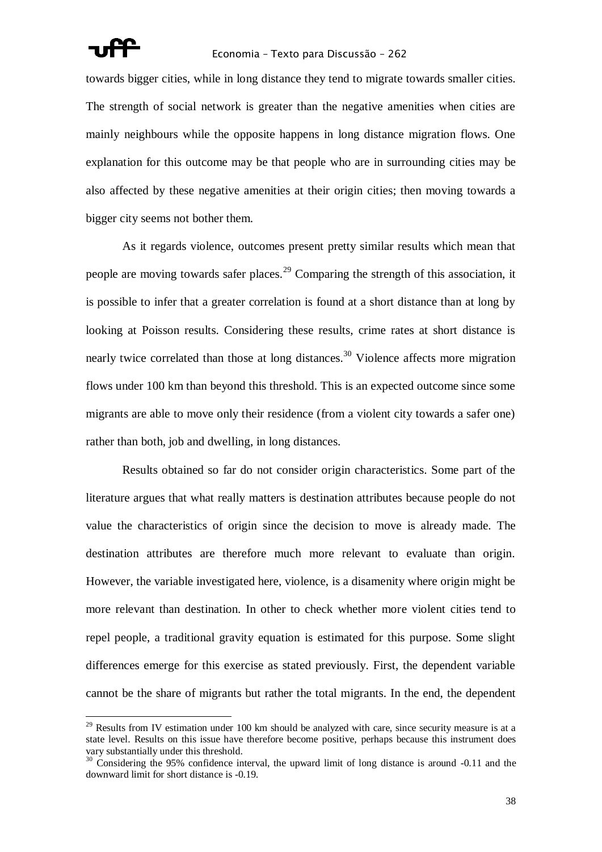

towards bigger cities, while in long distance they tend to migrate towards smaller cities. The strength of social network is greater than the negative amenities when cities are mainly neighbours while the opposite happens in long distance migration flows. One explanation for this outcome may be that people who are in surrounding cities may be also affected by these negative amenities at their origin cities; then moving towards a bigger city seems not bother them.

As it regards violence, outcomes present pretty similar results which mean that people are moving towards safer places.<sup>29</sup> Comparing the strength of this association, it is possible to infer that a greater correlation is found at a short distance than at long by looking at Poisson results. Considering these results, crime rates at short distance is nearly twice correlated than those at long distances.<sup>30</sup> Violence affects more migration flows under 100 km than beyond this threshold. This is an expected outcome since some migrants are able to move only their residence (from a violent city towards a safer one) rather than both, job and dwelling, in long distances.

Results obtained so far do not consider origin characteristics. Some part of the literature argues that what really matters is destination attributes because people do not value the characteristics of origin since the decision to move is already made. The destination attributes are therefore much more relevant to evaluate than origin. However, the variable investigated here, violence, is a disamenity where origin might be more relevant than destination. In other to check whether more violent cities tend to repel people, a traditional gravity equation is estimated for this purpose. Some slight differences emerge for this exercise as stated previously. First, the dependent variable cannot be the share of migrants but rather the total migrants. In the end, the dependent

 $^{29}$  Results from IV estimation under 100 km should be analyzed with care, since security measure is at a state level. Results on this issue have therefore become positive, perhaps because this instrument does vary substantially under this threshold.

<sup>&</sup>lt;sup>30</sup> Considering the 95% confidence interval, the upward limit of long distance is around -0.11 and the downward limit for short distance is -0.19.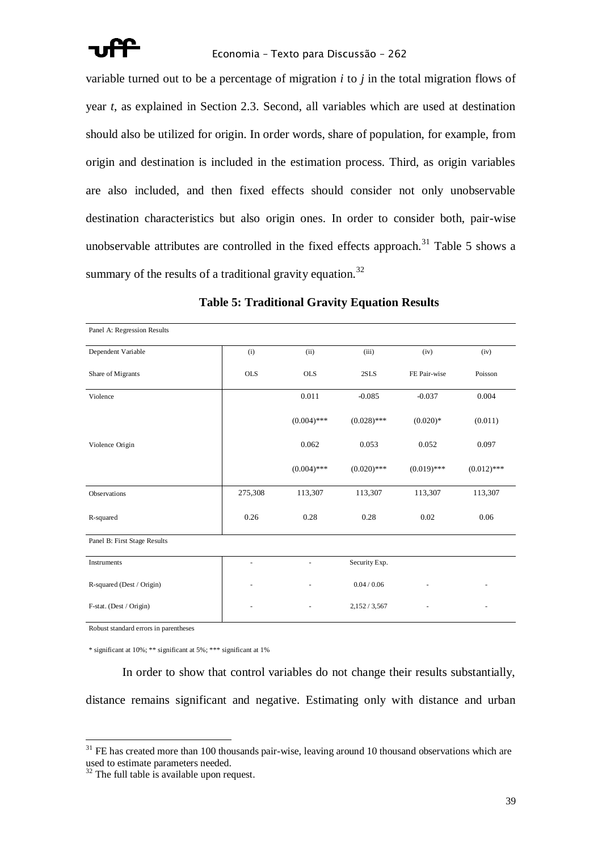

variable turned out to be a percentage of migration *i* to *j* in the total migration flows of year *t*, as explained in Section 2.3. Second, all variables which are used at destination should also be utilized for origin. In order words, share of population, for example, from origin and destination is included in the estimation process. Third, as origin variables are also included, and then fixed effects should consider not only unobservable destination characteristics but also origin ones. In order to consider both, pair-wise unobservable attributes are controlled in the fixed effects approach.<sup>31</sup> Table 5 shows a summary of the results of a traditional gravity equation.<sup>32</sup>

| Panel A: Regression Results  |            |               |               |               |               |
|------------------------------|------------|---------------|---------------|---------------|---------------|
| Dependent Variable           | (i)        | (ii)          | (iii)         | (iv)          | (iv)          |
| Share of Migrants            | <b>OLS</b> | <b>OLS</b>    | 2SLS          | FE Pair-wise  | Poisson       |
| Violence                     |            | 0.011         | $-0.085$      | $-0.037$      | 0.004         |
|                              |            | $(0.004)$ *** | $(0.028)$ *** | $(0.020)*$    | (0.011)       |
| Violence Origin              |            | 0.062         | 0.053         | 0.052         | 0.097         |
|                              |            | $(0.004)$ *** | $(0.020)$ *** | $(0.019)$ *** | $(0.012)$ *** |
| Observations                 | 275,308    | 113,307       | 113,307       | 113,307       | 113,307       |
| R-squared                    | 0.26       | 0.28          | 0.28          | 0.02          | 0.06          |
| Panel B: First Stage Results |            |               |               |               |               |
| Instruments                  |            |               | Security Exp. |               |               |
| R-squared (Dest / Origin)    |            |               | 0.04 / 0.06   |               |               |
| F-stat. (Dest / Origin)      |            |               | 2,152/3,567   |               |               |

# **Table 5: Traditional Gravity Equation Results**

Robust standard errors in parentheses

 $\overline{a}$ 

\* significant at 10%; \*\* significant at 5%; \*\*\* significant at 1%

In order to show that control variables do not change their results substantially, distance remains significant and negative. Estimating only with distance and urban

FE has created more than 100 thousands pair-wise, leaving around 10 thousand observations which are used to estimate parameters needed.

 $32$  The full table is available upon request.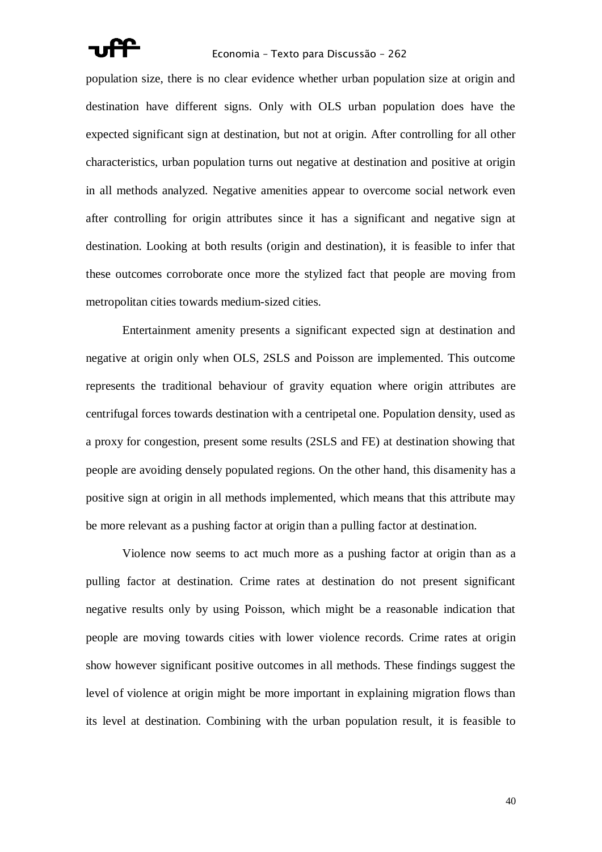

population size, there is no clear evidence whether urban population size at origin and destination have different signs. Only with OLS urban population does have the expected significant sign at destination, but not at origin. After controlling for all other characteristics, urban population turns out negative at destination and positive at origin in all methods analyzed. Negative amenities appear to overcome social network even after controlling for origin attributes since it has a significant and negative sign at destination. Looking at both results (origin and destination), it is feasible to infer that these outcomes corroborate once more the stylized fact that people are moving from metropolitan cities towards medium-sized cities.

Entertainment amenity presents a significant expected sign at destination and negative at origin only when OLS, 2SLS and Poisson are implemented. This outcome represents the traditional behaviour of gravity equation where origin attributes are centrifugal forces towards destination with a centripetal one. Population density, used as a proxy for congestion, present some results (2SLS and FE) at destination showing that people are avoiding densely populated regions. On the other hand, this disamenity has a positive sign at origin in all methods implemented, which means that this attribute may be more relevant as a pushing factor at origin than a pulling factor at destination.

Violence now seems to act much more as a pushing factor at origin than as a pulling factor at destination. Crime rates at destination do not present significant negative results only by using Poisson, which might be a reasonable indication that people are moving towards cities with lower violence records. Crime rates at origin show however significant positive outcomes in all methods. These findings suggest the level of violence at origin might be more important in explaining migration flows than its level at destination. Combining with the urban population result, it is feasible to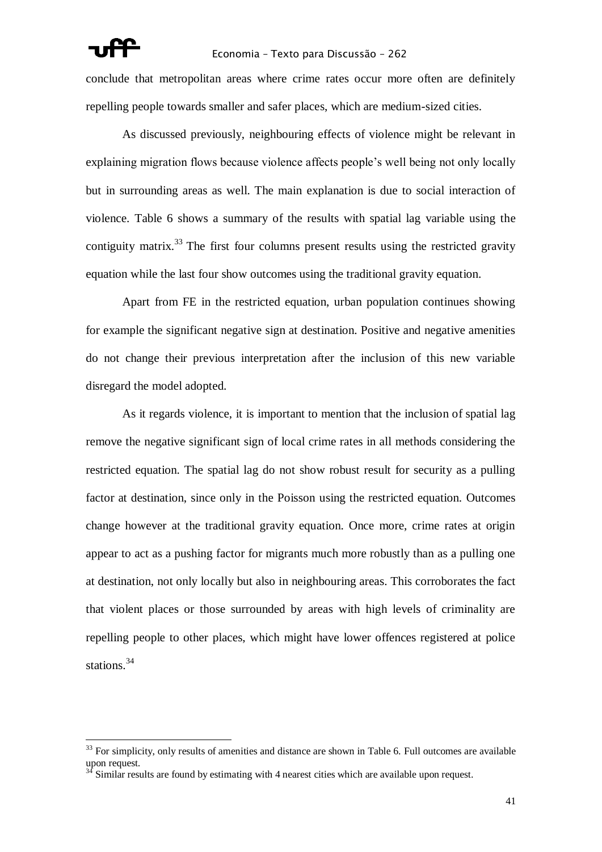# Economia – Texto para Discussão – 262

conclude that metropolitan areas where crime rates occur more often are definitely repelling people towards smaller and safer places, which are medium-sized cities.

As discussed previously, neighbouring effects of violence might be relevant in explaining migration flows because violence affects people"s well being not only locally but in surrounding areas as well. The main explanation is due to social interaction of violence. Table 6 shows a summary of the results with spatial lag variable using the contiguity matrix.<sup>33</sup> The first four columns present results using the restricted gravity equation while the last four show outcomes using the traditional gravity equation.

Apart from FE in the restricted equation, urban population continues showing for example the significant negative sign at destination. Positive and negative amenities do not change their previous interpretation after the inclusion of this new variable disregard the model adopted.

As it regards violence, it is important to mention that the inclusion of spatial lag remove the negative significant sign of local crime rates in all methods considering the restricted equation. The spatial lag do not show robust result for security as a pulling factor at destination, since only in the Poisson using the restricted equation. Outcomes change however at the traditional gravity equation. Once more, crime rates at origin appear to act as a pushing factor for migrants much more robustly than as a pulling one at destination, not only locally but also in neighbouring areas. This corroborates the fact that violent places or those surrounded by areas with high levels of criminality are repelling people to other places, which might have lower offences registered at police stations.<sup>34</sup>

 $33$  For simplicity, only results of amenities and distance are shown in Table 6. Full outcomes are available upon request.

Similar results are found by estimating with 4 nearest cities which are available upon request.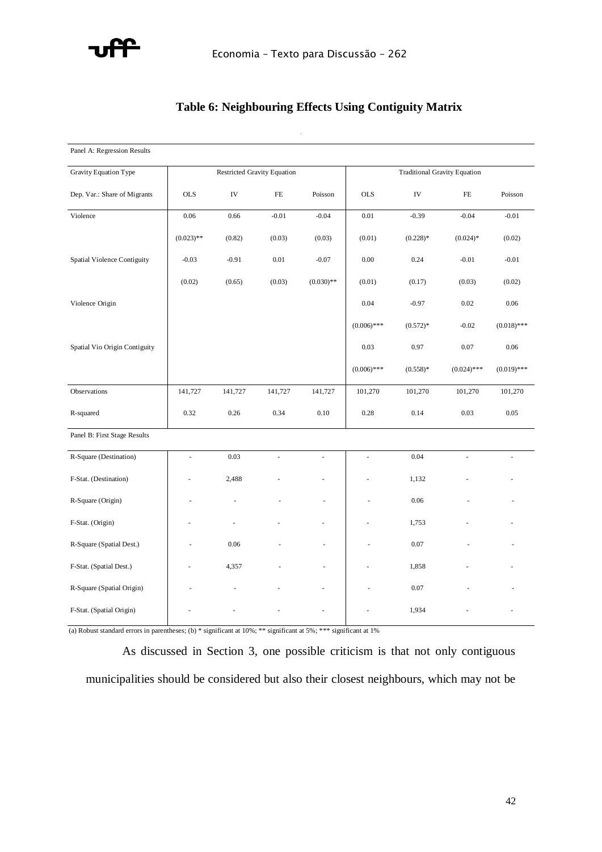

# **Table 6: Neighbouring Effects Using Contiguity Matrix**

Gravity Equation Type Dependent Varible(i) (ii)(iii) (iv)(v)(vi)Share of Migrants OLS IVPoisson Violence0,05-0,44-0,060,01-1,270,00 (0.009)\*\*\* (0.195)\*\*(0.012)\*\*\*(0,006)(0.684)\*(0,015)Spatial Violence Contiguity-0,02-0,280,67-0,01(0.008)\*\*\*(0.116)\*\*(0.011)\*\*\*(0.361)\*Violence Origin0,040,260,06(0.006)\*\*\*(0,249)(0.017)\*\*\*Vio Origin 0,03(0,153)Pop-5,75-11,53-2,67-1,94-2,12-11,25(0.265)\*\*\*(0.501)\*\*\*(0.368)\*\*\*(0.183)\*\*\*(0.366)\*\*\*(0.576)\*\*\*Pop Origin1,723,173,59(0.186)\*\*\*(0.687)\*\*\*(0.612)\*\*\*Negative Externality-0,15-0,21-0,23-0,07-0,36(0.033)\*\*\*(0.041)\*\*\*(0.047)\*\*\*(0.022)\*\*\*(0.160)\*\*(0,073)Positive 0,150,180,130,170,31(0.016)\*\*\*(0.024)\*\*\*(0.023)\*\*\*(0.026)\*\*\*(0.036)\*\*\*Externality 0,07(0,022)(0,057)(0,062)(0,01)(0.036)\*(0,031)Distance-0,74-0,71-0,62-0,42-0,40-0,88(0.004)\*\*\*(0.005)\*\*\*(0.003)\*\*\*Constant 3,826,242,20-7,92-6,45-4,26(0.113)\*\*\*(0.388)\*\*\*(0.157)\*\*\*(0.109)\*\*\*(0.814)\*\*\*(0.373)\*\*\*Observations141.727101.270R-squared0,320,100,280,22(a) Standard errors in parentheses; (b) \* significant at 10%; \*\* 5%; \*\*\* 1% (b) Only two years - Censuses 1991 and 2000Restricted Gravity EquationTraditional

| Panel A: Regression Results        |                             |            |          |              |                                     |            |               |               |
|------------------------------------|-----------------------------|------------|----------|--------------|-------------------------------------|------------|---------------|---------------|
| Gravity Equation Type              | Restricted Gravity Equation |            |          |              | <b>Traditional Gravity Equation</b> |            |               |               |
| Dep. Var.: Share of Migrants       | <b>OLS</b>                  | ${\rm IV}$ | $\rm FE$ | Poisson      | <b>OLS</b>                          | ${\rm IV}$ | $\rm FE$      | Poisson       |
| Violence                           | 0.06                        | 0.66       | $-0.01$  | $-0.04$      | 0.01                                | $-0.39$    | $-0.04$       | $-0.01$       |
|                                    | $(0.023)$ **                | (0.82)     | (0.03)   | (0.03)       | (0.01)                              | $(0.228)*$ | $(0.024)*$    | (0.02)        |
| <b>Spatial Violence Contiguity</b> | $-0.03$                     | $-0.91$    | 0.01     | $-0.07$      | $0.00\,$                            | 0.24       | $-0.01$       | $-0.01$       |
|                                    | (0.02)                      | (0.65)     | (0.03)   | $(0.030)$ ** | (0.01)                              | (0.17)     | (0.03)        | (0.02)        |
| Violence Origin                    |                             |            |          |              | 0.04                                | $-0.97$    | 0.02          | 0.06          |
|                                    |                             |            |          |              | $(0.006)$ ***                       | $(0.572)*$ | $-0.02$       | $(0.018)$ *** |
| Spatial Vio Origin Contiguity      |                             |            |          |              | 0.03                                | 0.97       | $0.07\,$      | 0.06          |
|                                    |                             |            |          |              | $(0.006)$ ***                       | $(0.558)*$ | $(0.024)$ *** | $(0.019)$ *** |
| Observations                       | 141,727                     | 141,727    | 141,727  | 141,727      | 101,270                             | 101,270    | 101,270       | 101,270       |
| R-squared                          | 0.32                        | 0.26       | 0.34     | 0.10         | 0.28                                | 0.14       | 0.03          | 0.05          |
| Panel B: First Stage Results       |                             |            |          |              |                                     |            |               |               |
| R-Square (Destination)             | L.                          | 0.03       |          |              | ÷.                                  | 0.04       |               |               |
| F-Stat. (Destination)              |                             | 2,488      |          |              |                                     | 1,132      |               |               |
| R-Square (Origin)                  |                             |            |          |              |                                     | 0.06       |               |               |
| F-Stat. (Origin)                   |                             |            |          |              |                                     | 1,753      |               |               |
| R-Square (Spatial Dest.)           |                             | 0.06       |          |              |                                     | 0.07       |               |               |
| F-Stat. (Spatial Dest.)            |                             | 4,357      |          |              |                                     | 1,858      |               |               |
| R-Square (Spatial Origin)          |                             |            |          |              |                                     | 0.07       |               |               |
| F-Stat. (Spatial Origin)           |                             |            |          | ä,           |                                     | 1,934      |               |               |

(a) Robust standard errors in parentheses; (b) \* significant at  $10\%$ ; \*\* significant at 5%; \*\*\* significant at 1%

As discussed in Section 3, one possible criticism is that not only contiguous municipalities should be considered but also their closest neighbours, which may not be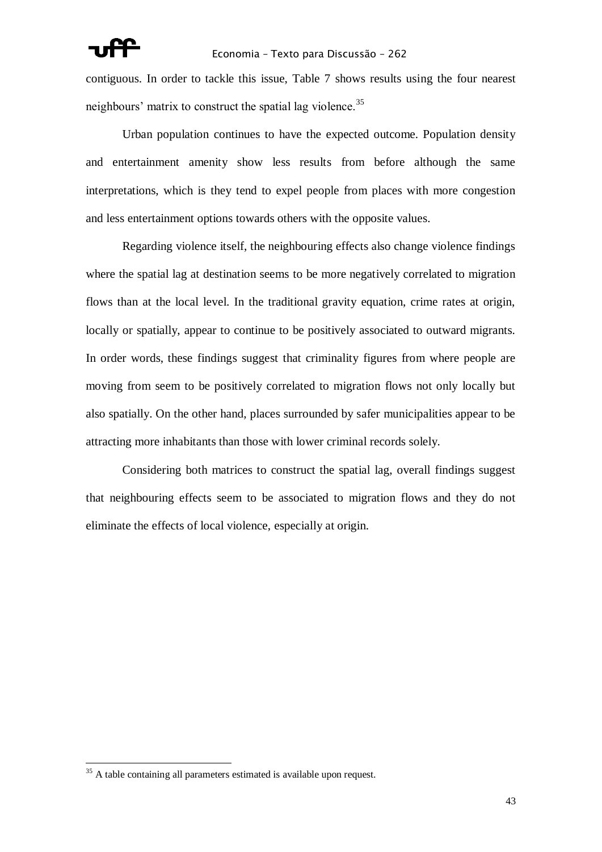contiguous. In order to tackle this issue, Table 7 shows results using the four nearest neighbours' matrix to construct the spatial lag violence.<sup>35</sup>

Urban population continues to have the expected outcome. Population density and entertainment amenity show less results from before although the same interpretations, which is they tend to expel people from places with more congestion and less entertainment options towards others with the opposite values.

Regarding violence itself, the neighbouring effects also change violence findings where the spatial lag at destination seems to be more negatively correlated to migration flows than at the local level. In the traditional gravity equation, crime rates at origin, locally or spatially, appear to continue to be positively associated to outward migrants. In order words, these findings suggest that criminality figures from where people are moving from seem to be positively correlated to migration flows not only locally but also spatially. On the other hand, places surrounded by safer municipalities appear to be attracting more inhabitants than those with lower criminal records solely.

Considering both matrices to construct the spatial lag, overall findings suggest that neighbouring effects seem to be associated to migration flows and they do not eliminate the effects of local violence, especially at origin.

 $\overline{a}$ 

 $35$  A table containing all parameters estimated is available upon request.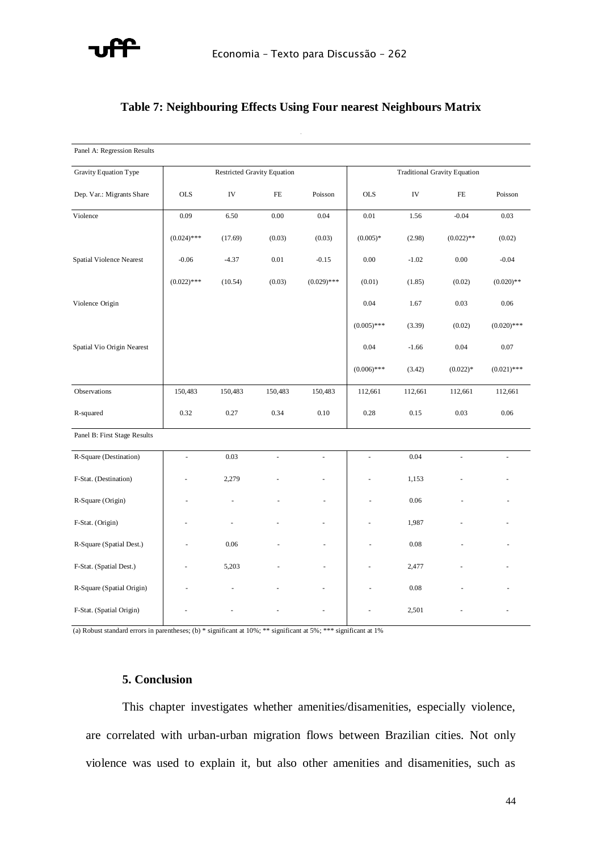

# **Table 7: Neighbouring Effects Using Four nearest Neighbours Matrix**

Gravity Equation Type Dependent Varible(i) (ii)(iii) (iv)(v)(vi)Share of Migrants OLS IVPoisson Violence0,08-10,410,020,010,300,03 (b) Only two years - Censuses 1991 and 2000Restricted Gravity EquationTraditional (0.008)\*\*\* (3.752)\*\*\*(0.012)\*(0.005)\*(0,187)(0.019)\*Spatial Violence Nearerst -0,064,05-0,140,00-0,18-0,05(1.605)\*\*(0.010)\*\*\*(0,005)(0.073)\*\*(0.019)\*\*Violence Origin0,040,07(0.005)\*\*\*(0,122)(0.019)\*\*\*Vio Origin Nearest-0,010,06(0,121)Pop-5,85-45,52-3,04-1,90-1,80-11,53(0.254)\*\*\*(13.242)\*\*\*(0.351)\*\*\*(0.173)\*\*\*(0.398)\*\*\*(0.579)\*\*\*Pop Origin1,761,534,16(0.175)\*\*\*(0.441)\*\*\*(0.665)\*\*\*Negative Externality-0,15-1,04-0,21(0.032)\*\*\*(0.324)\*\*\*(0.046)\*\*\*(0.021)\*\*\*(0,054)(0,075)Positive 1,230,190,130,120,32(0.016)\*\*\*(0.417)\*\*\*(0.023)\*\*\*(0.012)\*\*\*(0.036)\*\*\*Externality (0,021)(0,027)(0,063)-0,02(0,01)(0,014)(0,029)Distance-0,74-0,43-0,62-0,42-0,89(0.003)\*\*\*(0.106)\*\*\*Constant3,8622,142,40-8,01-8,24-4,45(0.112)\*\*\*(5.981)\*\*\*(0.154)\*\*\*(0.104)\*\*\*(0.266)\*\*\*(0.391)\*\*\*Observations150.483112.661R-squared0,250,100,280,26(a) Standard errors in parentheses; (b) \* significant at 10%; \*\* 5%; \*\*\* 1%

| Panel A: Regression Results  |               |                                    |          |               |               |                                     |              |               |  |
|------------------------------|---------------|------------------------------------|----------|---------------|---------------|-------------------------------------|--------------|---------------|--|
| Gravity Equation Type        |               | <b>Restricted Gravity Equation</b> |          |               |               | <b>Traditional Gravity Equation</b> |              |               |  |
| Dep. Var.: Migrants Share    | <b>OLS</b>    | IV                                 | FE       | Poisson       | <b>OLS</b>    | IV                                  | FE           | Poisson       |  |
| Violence                     | 0.09          | 6.50                               | $0.00\,$ | 0.04          | $0.01\,$      | 1.56                                | $-0.04$      | 0.03          |  |
|                              | $(0.024)$ *** | (17.69)                            | (0.03)   | (0.03)        | $(0.005)*$    | (2.98)                              | $(0.022)$ ** | (0.02)        |  |
| Spatial Violence Nearest     | $-0.06$       | $-4.37$                            | $0.01\,$ | $-0.15$       | $0.00\,$      | $-1.02$                             | $0.00\,$     | $-0.04$       |  |
|                              | $(0.022)$ *** | (10.54)                            | (0.03)   | $(0.029)$ *** | (0.01)        | (1.85)                              | (0.02)       | $(0.020)$ **  |  |
| Violence Origin              |               |                                    |          |               | 0.04          | 1.67                                | 0.03         | 0.06          |  |
|                              |               |                                    |          |               | $(0.005)$ *** | (3.39)                              | (0.02)       | $(0.020)$ *** |  |
| Spatial Vio Origin Nearest   |               |                                    |          |               | 0.04          | $-1.66$                             | 0.04         | 0.07          |  |
|                              |               |                                    |          |               | $(0.006)$ *** | (3.42)                              | $(0.022)*$   | $(0.021)$ *** |  |
| Observations                 | 150,483       | 150,483                            | 150,483  | 150,483       | 112,661       | 112,661                             | 112,661      | 112,661       |  |
| R-squared                    | 0.32          | 0.27                               | 0.34     | 0.10          | 0.28          | 0.15                                | 0.03         | 0.06          |  |
| Panel B: First Stage Results |               |                                    |          |               |               |                                     |              |               |  |
| R-Square (Destination)       | ÷.            | 0.03                               |          |               | ÷,            | 0.04                                |              |               |  |
| F-Stat. (Destination)        |               | 2,279                              |          |               |               | 1,153                               |              |               |  |
| R-Square (Origin)            |               | ä,                                 |          |               |               | 0.06                                |              |               |  |
| F-Stat. (Origin)             |               |                                    |          |               |               | 1,987                               |              |               |  |
| R-Square (Spatial Dest.)     | ÷,            | 0.06                               |          |               | ÷,            | 0.08                                |              |               |  |
| F-Stat. (Spatial Dest.)      |               | 5,203                              |          |               |               | 2,477                               |              |               |  |
| R-Square (Spatial Origin)    |               |                                    |          |               |               | 0.08                                |              |               |  |
| F-Stat. (Spatial Origin)     |               |                                    |          |               |               | 2,501                               |              |               |  |

(a) Robust standard errors in parentheses; (b) \* significant at 10%; \*\* significant at 5%; \*\*\* significant at 1%

# **5. Conclusion**

This chapter investigates whether amenities/disamenities, especially violence, are correlated with urban-urban migration flows between Brazilian cities. Not only violence was used to explain it, but also other amenities and disamenities, such as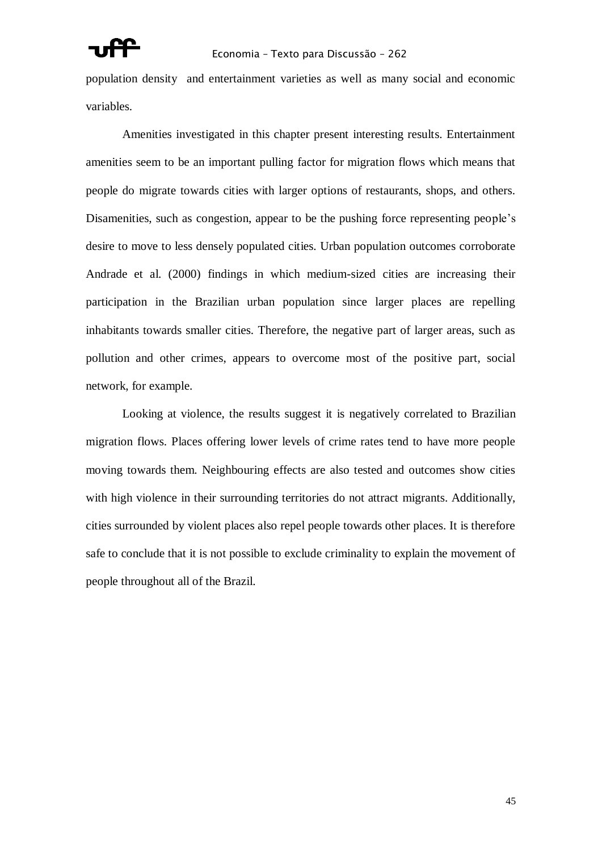population density and entertainment varieties as well as many social and economic variables.

Amenities investigated in this chapter present interesting results. Entertainment amenities seem to be an important pulling factor for migration flows which means that people do migrate towards cities with larger options of restaurants, shops, and others. Disamenities, such as congestion, appear to be the pushing force representing people's desire to move to less densely populated cities. Urban population outcomes corroborate Andrade et al. (2000) findings in which medium-sized cities are increasing their participation in the Brazilian urban population since larger places are repelling inhabitants towards smaller cities. Therefore, the negative part of larger areas, such as pollution and other crimes, appears to overcome most of the positive part, social network, for example.

Looking at violence, the results suggest it is negatively correlated to Brazilian migration flows. Places offering lower levels of crime rates tend to have more people moving towards them. Neighbouring effects are also tested and outcomes show cities with high violence in their surrounding territories do not attract migrants. Additionally, cities surrounded by violent places also repel people towards other places. It is therefore safe to conclude that it is not possible to exclude criminality to explain the movement of people throughout all of the Brazil.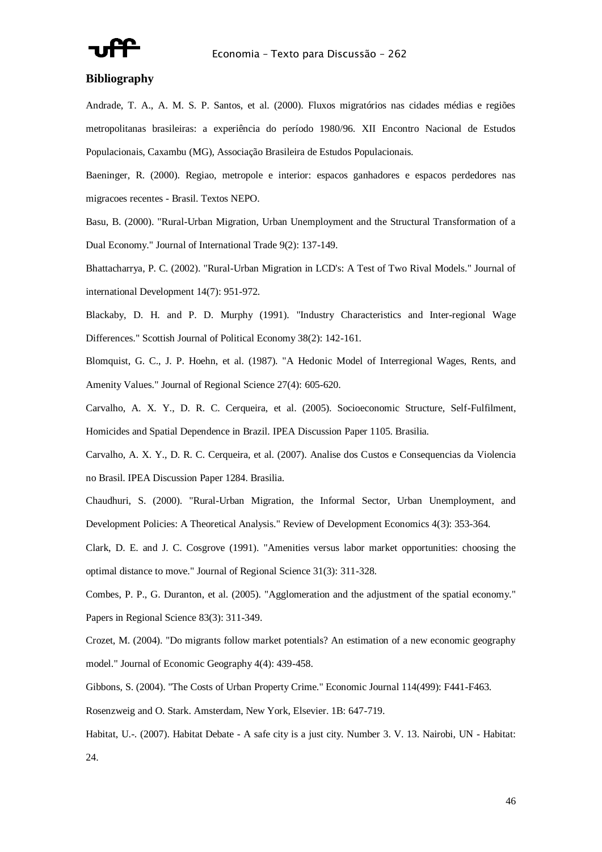

### **Bibliography**

Andrade, T. A., A. M. S. P. Santos, et al. (2000). Fluxos migratórios nas cidades médias e regiões metropolitanas brasileiras: a experiência do período 1980/96. XII Encontro Nacional de Estudos Populacionais, Caxambu (MG), Associação Brasileira de Estudos Populacionais.

Baeninger, R. (2000). Regiao, metropole e interior: espacos ganhadores e espacos perdedores nas migracoes recentes - Brasil. Textos NEPO.

Basu, B. (2000). "Rural-Urban Migration, Urban Unemployment and the Structural Transformation of a Dual Economy." Journal of International Trade 9(2): 137-149.

Bhattacharrya, P. C. (2002). "Rural-Urban Migration in LCD's: A Test of Two Rival Models." Journal of international Development 14(7): 951-972.

Blackaby, D. H. and P. D. Murphy (1991). "Industry Characteristics and Inter-regional Wage Differences." Scottish Journal of Political Economy 38(2): 142-161.

Blomquist, G. C., J. P. Hoehn, et al. (1987). "A Hedonic Model of Interregional Wages, Rents, and Amenity Values." Journal of Regional Science 27(4): 605-620.

Carvalho, A. X. Y., D. R. C. Cerqueira, et al. (2005). Socioeconomic Structure, Self-Fulfilment, Homicides and Spatial Dependence in Brazil. IPEA Discussion Paper 1105. Brasilia.

Carvalho, A. X. Y., D. R. C. Cerqueira, et al. (2007). Analise dos Custos e Consequencias da Violencia no Brasil. IPEA Discussion Paper 1284. Brasilia.

Chaudhuri, S. (2000). "Rural-Urban Migration, the Informal Sector, Urban Unemployment, and Development Policies: A Theoretical Analysis." Review of Development Economics 4(3): 353-364.

Clark, D. E. and J. C. Cosgrove (1991). "Amenities versus labor market opportunities: choosing the optimal distance to move." Journal of Regional Science 31(3): 311-328.

Combes, P. P., G. Duranton, et al. (2005). "Agglomeration and the adjustment of the spatial economy." Papers in Regional Science 83(3): 311-349.

Crozet, M. (2004). "Do migrants follow market potentials? An estimation of a new economic geography model." Journal of Economic Geography 4(4): 439-458.

Gibbons, S. (2004). "The Costs of Urban Property Crime." Economic Journal 114(499): F441-F463.

Rosenzweig and O. Stark. Amsterdam, New York, Elsevier. 1B: 647-719.

Habitat, U.-. (2007). Habitat Debate - A safe city is a just city. Number 3. V. 13. Nairobi, UN - Habitat: 24.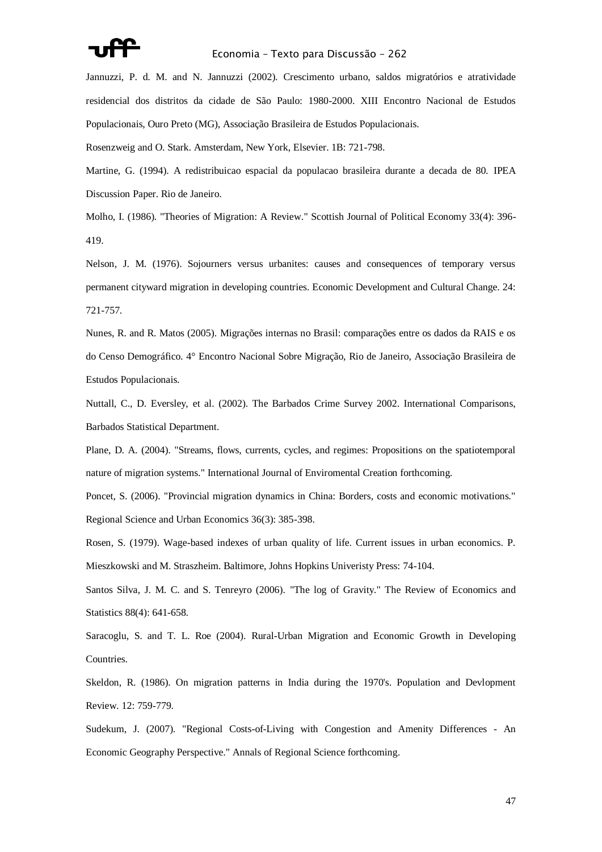

Jannuzzi, P. d. M. and N. Jannuzzi (2002). Crescimento urbano, saldos migratórios e atratividade residencial dos distritos da cidade de São Paulo: 1980-2000. XIII Encontro Nacional de Estudos Populacionais, Ouro Preto (MG), Associação Brasileira de Estudos Populacionais.

Rosenzweig and O. Stark. Amsterdam, New York, Elsevier. 1B: 721-798.

Martine, G. (1994). A redistribuicao espacial da populacao brasileira durante a decada de 80. IPEA Discussion Paper. Rio de Janeiro.

Molho, I. (1986). "Theories of Migration: A Review." Scottish Journal of Political Economy 33(4): 396- 419.

Nelson, J. M. (1976). Sojourners versus urbanites: causes and consequences of temporary versus permanent cityward migration in developing countries. Economic Development and Cultural Change. 24: 721-757.

Nunes, R. and R. Matos (2005). Migrações internas no Brasil: comparações entre os dados da RAIS e os do Censo Demográfico. 4° Encontro Nacional Sobre Migração, Rio de Janeiro, Associação Brasileira de Estudos Populacionais.

Nuttall, C., D. Eversley, et al. (2002). The Barbados Crime Survey 2002. International Comparisons, Barbados Statistical Department.

Plane, D. A. (2004). "Streams, flows, currents, cycles, and regimes: Propositions on the spatiotemporal nature of migration systems." International Journal of Enviromental Creation forthcoming.

Poncet, S. (2006). "Provincial migration dynamics in China: Borders, costs and economic motivations." Regional Science and Urban Economics 36(3): 385-398.

Rosen, S. (1979). Wage-based indexes of urban quality of life. Current issues in urban economics. P. Mieszkowski and M. Straszheim. Baltimore, Johns Hopkins Univeristy Press: 74-104.

Santos Silva, J. M. C. and S. Tenreyro (2006). "The log of Gravity." The Review of Economics and Statistics 88(4): 641-658.

Saracoglu, S. and T. L. Roe (2004). Rural-Urban Migration and Economic Growth in Developing Countries.

Skeldon, R. (1986). On migration patterns in India during the 1970's. Population and Devlopment Review. 12: 759-779.

Sudekum, J. (2007). "Regional Costs-of-Living with Congestion and Amenity Differences - An Economic Geography Perspective." Annals of Regional Science forthcoming.